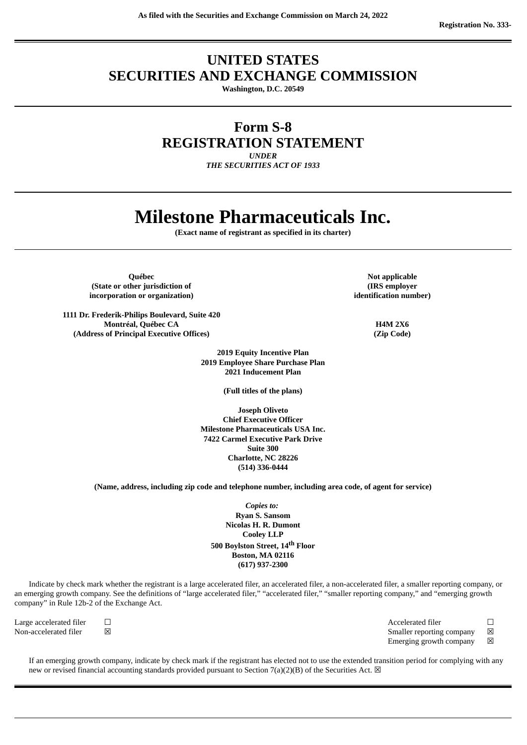# **UNITED STATES SECURITIES AND EXCHANGE COMMISSION**

**Washington, D.C. 20549**

**Form S-8**

**REGISTRATION STATEMENT**

*UNDER*

*THE SECURITIES ACT OF 1933*

# **Milestone Pharmaceuticals Inc.**

**(Exact name of registrant as specified in its charter)**

**Drawing Contract Contract Contract Contract Contract Contract Contract Contract Contract Contract Contract Contract Contract Contract Contract Contract Contract Contract Contract Contract Contract Contract Contract Contra (State or other jurisdiction of incorporation or organization)**

**1111 Dr. Frederik-Philips Boulevard, Suite 420 Montréal, Québec CA H4M 2X6 (Address of Principal Executive Offices) (Zip Code)**

> **2019 Equity Incentive Plan 2019 Employee Share Purchase Plan 2021 Inducement Plan**

> > **(Full titles of the plans)**

**Joseph Oliveto Chief Executive Officer Milestone Pharmaceuticals USA Inc. 7422 Carmel Executive Park Drive Suite 300 Charlotte, NC 28226 (514) 336-0444**

**(Name, address, including zip code and telephone number, including area code, of agent for service)**

*Copies to:* **Ryan S. Sansom Nicolas H. R. Dumont Cooley LLP 500 Boylston Street, 14 th Floor Boston, MA 02116 (617) 937-2300**

Indicate by check mark whether the registrant is a large accelerated filer, an accelerated filer, a non-accelerated filer, a smaller reporting company, or an emerging growth company. See the definitions of "large accelerated filer," "accelerated filer," "smaller reporting company," and "emerging growth company" in Rule 12b-2 of the Exchange Act.

| Large accelerated filer | Е |
|-------------------------|---|
| Non-accelerated filer   | 区 |

 $\Box$  Accelerated filer  $\Box$ Smaller reporting company  $\boxtimes$ Emerging growth company  $\boxtimes$ 

If an emerging growth company, indicate by check mark if the registrant has elected not to use the extended transition period for complying with any new or revised financial accounting standards provided pursuant to Section 7(a)(2)(B) of the Securities Act.  $\boxtimes$ 

**(IRS employer identification number)**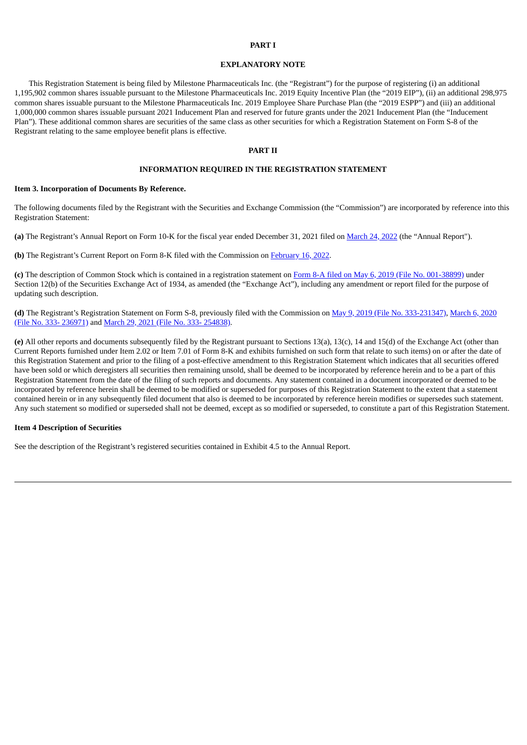#### **PART I**

#### **EXPLANATORY NOTE**

This Registration Statement is being filed by Milestone Pharmaceuticals Inc. (the "Registrant") for the purpose of registering (i) an additional 1,195,902 common shares issuable pursuant to the Milestone Pharmaceuticals Inc. 2019 Equity Incentive Plan (the "2019 EIP"), (ii) an additional 298,975 common shares issuable pursuant to the Milestone Pharmaceuticals Inc. 2019 Employee Share Purchase Plan (the "2019 ESPP") and (iii) an additional 1,000,000 common shares issuable pursuant 2021 Inducement Plan and reserved for future grants under the 2021 Inducement Plan (the "Inducement Plan"). These additional common shares are securities of the same class as other securities for which a Registration Statement on Form S-8 of the Registrant relating to the same employee benefit plans is effective.

#### **PART II**

#### **INFORMATION REQUIRED IN THE REGISTRATION STATEMENT**

#### **Item 3. Incorporation of Documents By Reference.**

The following documents filed by the Registrant with the Securities and Exchange Commission (the "Commission") are incorporated by reference into this Registration Statement:

**(a)** The Registrant's Annual Report on Form 10-K for the fiscal year ended December 31, 2021 filed on [March](https://www.sec.gov/ix?doc=/Archives/edgar/data/1408443/000155837022004205/mist-20211231x10k.htm) 24, 2022 (the "Annual Report").

**(b)** The Registrant's Current Report on Form 8-K filed with the Commission on [February](https://www.sec.gov/ix?doc=/Archives/edgar/data/1408443/000110465922024083/tm226897d1_8k.htm) 16, 2022.

**(c)** The description of Common Stock which is contained in a registration statement on Form 8-A filed on May 6, 2019 (File No. [001-38899\)](https://www.sec.gov/Archives/edgar/data/1408443/000110465919027182/a18-41190_88a12b.htm) under Section 12(b) of the Securities Exchange Act of 1934, as amended (the "Exchange Act"), including any amendment or report filed for the purpose of updating such description.

**(d)** The Registrant's Registration Statement on Form S-8, previously filed with the Commission on May 9, 2019 (File No. [333-231347](https://www.sec.gov/Archives/edgar/data/1408443/000110465919028279/a19-9652_1s8.htm)[\),](https://www.sec.gov/Archives/edgar/data/1408443/000110465920030259/tm2011734d1_s8.htm) March 6, 2020 (File No. 333- 236971) and March 29, 2021 (File No. 333- [254838\)](https://www.sec.gov/Archives/edgar/data/1408443/000110465921043392/tm2110815d1_s8.htm).

**(e)** All other reports and documents subsequently filed by the Registrant pursuant to Sections 13(a), 13(c), 14 and 15(d) of the Exchange Act (other than Current Reports furnished under Item 2.02 or Item 7.01 of Form 8-K and exhibits furnished on such form that relate to such items) on or after the date of this Registration Statement and prior to the filing of a post-effective amendment to this Registration Statement which indicates that all securities offered have been sold or which deregisters all securities then remaining unsold, shall be deemed to be incorporated by reference herein and to be a part of this Registration Statement from the date of the filing of such reports and documents. Any statement contained in a document incorporated or deemed to be incorporated by reference herein shall be deemed to be modified or superseded for purposes of this Registration Statement to the extent that a statement contained herein or in any subsequently filed document that also is deemed to be incorporated by reference herein modifies or supersedes such statement. Any such statement so modified or superseded shall not be deemed, except as so modified or superseded, to constitute a part of this Registration Statement.

#### **Item 4 Description of Securities**

See the description of the Registrant's registered securities contained in Exhibit 4.5 to the Annual Report.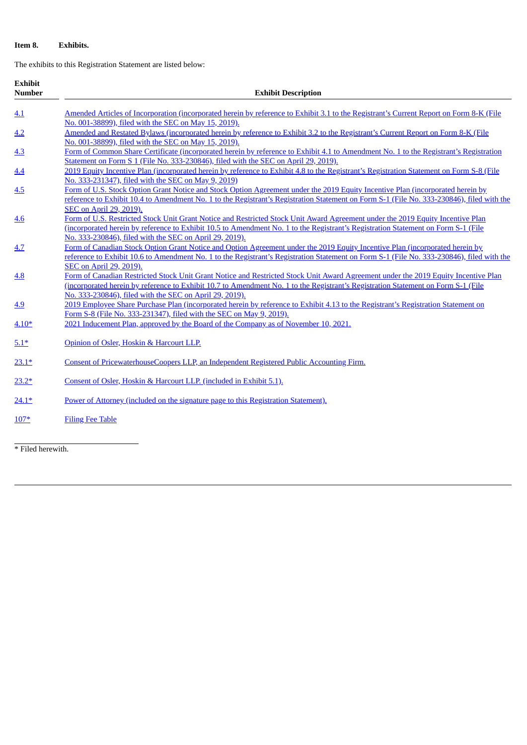# **Item 8. Exhibits.**

The exhibits to this Registration Statement are listed below:

| <b>Exhibit</b><br><b>Number</b> | <b>Exhibit Description</b>                                                                                                                                                                                                                                                                                                                                    |  |  |  |  |
|---------------------------------|---------------------------------------------------------------------------------------------------------------------------------------------------------------------------------------------------------------------------------------------------------------------------------------------------------------------------------------------------------------|--|--|--|--|
|                                 |                                                                                                                                                                                                                                                                                                                                                               |  |  |  |  |
| 4.1                             | Amended Articles of Incorporation (incorporated herein by reference to Exhibit 3.1 to the Registrant's Current Report on Form 8-K (File<br>No. 001-38899), filed with the SEC on May 15, 2019).                                                                                                                                                               |  |  |  |  |
| 4.2                             | Amended and Restated Bylaws (incorporated herein by reference to Exhibit 3.2 to the Registrant's Current Report on Form 8-K (File<br>No. 001-38899), filed with the SEC on May 15, 2019).                                                                                                                                                                     |  |  |  |  |
| 4.3                             | Form of Common Share Certificate (incorporated herein by reference to Exhibit 4.1 to Amendment No. 1 to the Registrant's Registration<br>Statement on Form S 1 (File No. 333-230846), filed with the SEC on April 29, 2019).                                                                                                                                  |  |  |  |  |
| 4.4                             | 2019 Equity Incentive Plan (incorporated herein by reference to Exhibit 4.8 to the Registrant's Registration Statement on Form S-8 (File<br>No. 333-231347), filed with the SEC on May 9, 2019).                                                                                                                                                              |  |  |  |  |
| 4.5                             | Form of U.S. Stock Option Grant Notice and Stock Option Agreement under the 2019 Equity Incentive Plan (incorporated herein by<br>reference to Exhibit 10.4 to Amendment No. 1 to the Registrant's Registration Statement on Form S-1 (File No. 333-230846), filed with the<br>SEC on April 29, 2019).                                                        |  |  |  |  |
| 4.6                             | Form of U.S. Restricted Stock Unit Grant Notice and Restricted Stock Unit Award Agreement under the 2019 Equity Incentive Plan<br>(incorporated herein by reference to Exhibit 10.5 to Amendment No. 1 to the Registrant's Registration Statement on Form S-1 (File<br>No. 333-230846), filed with the SEC on April 29, 2019).                                |  |  |  |  |
| 4.7                             | Form of Canadian Stock Option Grant Notice and Option Agreement under the 2019 Equity Incentive Plan (incorporated herein by<br>reference to Exhibit 10.6 to Amendment No. 1 to the Registrant's Registration Statement on Form S-1 (File No. 333-230846), filed with the                                                                                     |  |  |  |  |
| 4.8                             | SEC on April 29, 2019).<br>Form of Canadian Restricted Stock Unit Grant Notice and Restricted Stock Unit Award Agreement under the 2019 Equity Incentive Plan<br>(incorporated herein by reference to Exhibit 10.7 to Amendment No. 1 to the Registrant's Registration Statement on Form S-1 (File<br>No. 333-230846), filed with the SEC on April 29, 2019). |  |  |  |  |
| 4.9                             | 2019 Employee Share Purchase Plan (incorporated herein by reference to Exhibit 4.13 to the Registrant's Registration Statement on<br>Form S-8 (File No. 333-231347), filed with the SEC on May 9, 2019).                                                                                                                                                      |  |  |  |  |
| $4.10*$                         | 2021 Inducement Plan, approved by the Board of the Company as of November 10, 2021.                                                                                                                                                                                                                                                                           |  |  |  |  |
| $5.1*$                          | Opinion of Osler, Hoskin & Harcourt LLP.                                                                                                                                                                                                                                                                                                                      |  |  |  |  |
| $23.1*$                         | Consent of PricewaterhouseCoopers LLP, an Independent Registered Public Accounting Firm.                                                                                                                                                                                                                                                                      |  |  |  |  |
| $23.2*$                         | Consent of Osler, Hoskin & Harcourt LLP. (included in Exhibit 5.1).                                                                                                                                                                                                                                                                                           |  |  |  |  |
| $24.1*$                         | Power of Attorney (included on the signature page to this Registration Statement).                                                                                                                                                                                                                                                                            |  |  |  |  |
| $107*$                          | <b>Filing Fee Table</b>                                                                                                                                                                                                                                                                                                                                       |  |  |  |  |

\* Filed herewith.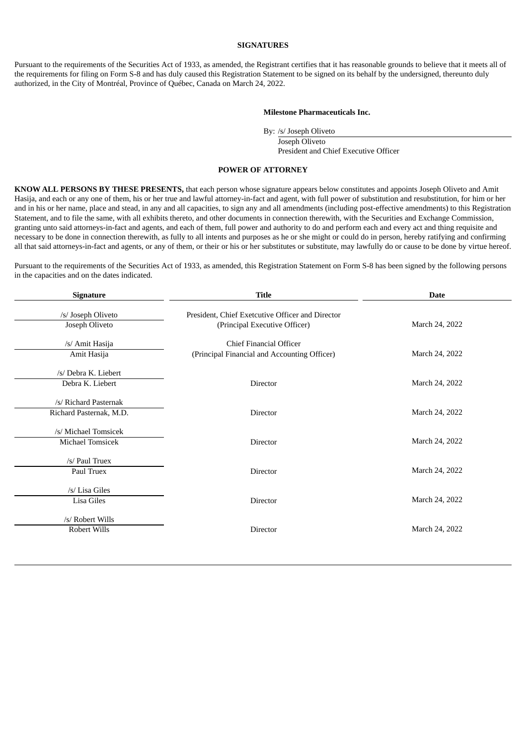#### **SIGNATURES**

Pursuant to the requirements of the Securities Act of 1933, as amended, the Registrant certifies that it has reasonable grounds to believe that it meets all of the requirements for filing on Form S-8 and has duly caused this Registration Statement to be signed on its behalf by the undersigned, thereunto duly authorized, in the City of Montréal, Province of Québec, Canada on March 24, 2022.

#### **Milestone Pharmaceuticals Inc.**

By: /s/ Joseph Oliveto

Joseph Oliveto President and Chief Executive Officer

#### **POWER OF ATTORNEY**

<span id="page-3-0"></span>**KNOW ALL PERSONS BY THESE PRESENTS,** that each person whose signature appears below constitutes and appoints Joseph Oliveto and Amit Hasija, and each or any one of them, his or her true and lawful attorney-in-fact and agent, with full power of substitution and resubstitution, for him or her and in his or her name, place and stead, in any and all capacities, to sign any and all amendments (including post-effective amendments) to this Registration Statement, and to file the same, with all exhibits thereto, and other documents in connection therewith, with the Securities and Exchange Commission, granting unto said attorneys-in-fact and agents, and each of them, full power and authority to do and perform each and every act and thing requisite and necessary to be done in connection therewith, as fully to all intents and purposes as he or she might or could do in person, hereby ratifying and confirming all that said attorneys-in-fact and agents, or any of them, or their or his or her substitutes or substitute, may lawfully do or cause to be done by virtue hereof.

Pursuant to the requirements of the Securities Act of 1933, as amended, this Registration Statement on Form S-8 has been signed by the following persons in the capacities and on the dates indicated.

| <b>Signature</b>                                 | <b>Title</b>                                                                      | <b>Date</b>    |  |  |
|--------------------------------------------------|-----------------------------------------------------------------------------------|----------------|--|--|
| /s/ Joseph Oliveto<br>Joseph Oliveto             | President, Chief Exetcutive Officer and Director<br>(Principal Executive Officer) | March 24, 2022 |  |  |
| /s/ Amit Hasija<br>Amit Hasija                   | <b>Chief Financial Officer</b><br>(Principal Financial and Accounting Officer)    | March 24, 2022 |  |  |
| /s/ Debra K. Liebert<br>Debra K. Liebert         | <b>Director</b>                                                                   | March 24, 2022 |  |  |
| /s/ Richard Pasternak<br>Richard Pasternak, M.D. | <b>Director</b>                                                                   | March 24, 2022 |  |  |
| /s/ Michael Tomsicek<br>Michael Tomsicek         | Director                                                                          | March 24, 2022 |  |  |
| /s/ Paul Truex<br>Paul Truex                     | <b>Director</b>                                                                   | March 24, 2022 |  |  |
| /s/ Lisa Giles<br>Lisa Giles                     | <b>Director</b>                                                                   | March 24, 2022 |  |  |
| /s/ Robert Wills<br>Robert Wills                 | <b>Director</b>                                                                   | March 24, 2022 |  |  |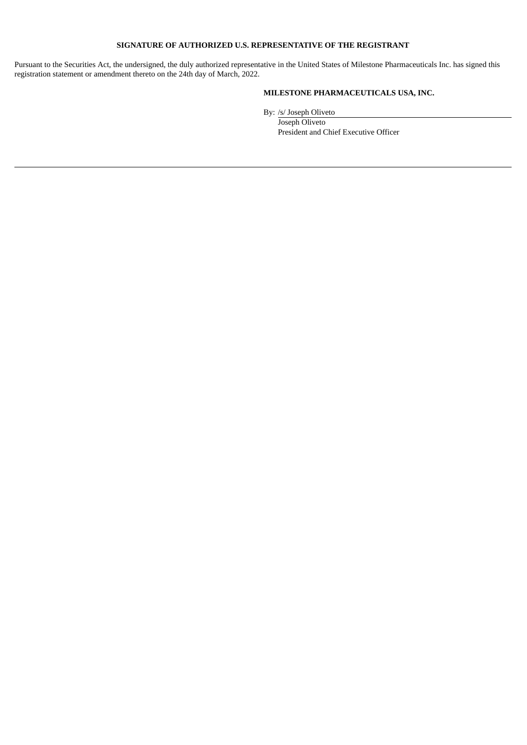### **SIGNATURE OF AUTHORIZED U.S. REPRESENTATIVE OF THE REGISTRANT**

Pursuant to the Securities Act, the undersigned, the duly authorized representative in the United States of Milestone Pharmaceuticals Inc. has signed this registration statement or amendment thereto on the 24th day of March, 2022.

# **MILESTONE PHARMACEUTICALS USA, INC.**

By: /s/ Joseph Oliveto

Joseph Oliveto President and Chief Executive Officer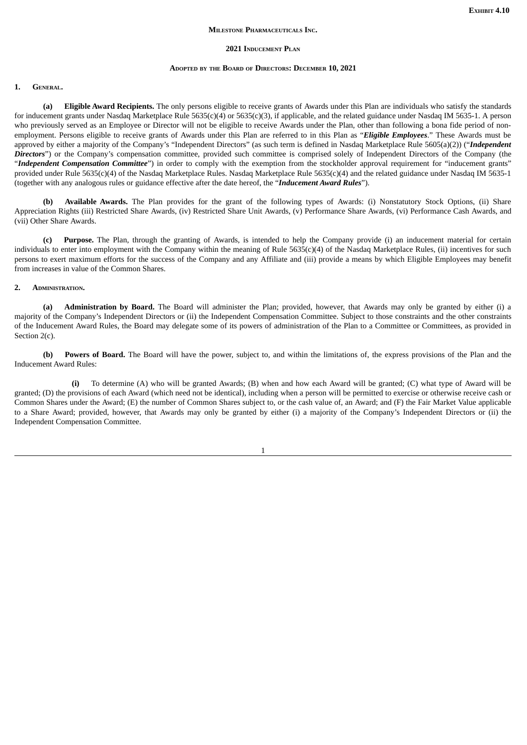#### **MILESTONE PHARMACEUTICALS INC.**

#### **2021 INDUCEMENT PLAN**

#### **ADOPTED BY THE BOARD OF DIRECTORS: DECEMBER 10, 2021**

#### <span id="page-5-0"></span>**1. GENERAL**

**(a) Eligible Award Recipients.** The only persons eligible to receive grants of Awards under this Plan are individuals who satisfy the standards for inducement grants under Nasdaq Marketplace Rule 5635(c)(4) or 5635(c)(3), if applicable, and the related guidance under Nasdaq IM 5635-1. A person who previously served as an Employee or Director will not be eligible to receive Awards under the Plan, other than following a bona fide period of nonemployment. Persons eligible to receive grants of Awards under this Plan are referred to in this Plan as "*Eligible Employees*." These Awards must be approved by either a majority of the Company's "Independent Directors" (as such term is defined in Nasdaq Marketplace Rule 5605(a)(2)) ("*Independent* **Directors**") or the Company's compensation committee, provided such committee is comprised solely of Independent Directors of the Company (the "*Independent Compensation Committee*") in order to comply with the exemption from the stockholder approval requirement for "inducement grants" provided under Rule 5635(c)(4) of the Nasdaq Marketplace Rules. Nasdaq Marketplace Rule 5635(c)(4) and the related guidance under Nasdaq IM 5635-1 (together with any analogous rules or guidance effective after the date hereof, the "*Inducement Award Rules*").

**(b) Available Awards.** The Plan provides for the grant of the following types of Awards: (i) Nonstatutory Stock Options, (ii) Share Appreciation Rights (iii) Restricted Share Awards, (iv) Restricted Share Unit Awards, (v) Performance Share Awards, (vi) Performance Cash Awards, and (vii) Other Share Awards.

**(c) Purpose.** The Plan, through the granting of Awards, is intended to help the Company provide (i) an inducement material for certain individuals to enter into employment with the Company within the meaning of Rule 5635(c)(4) of the Nasdaq Marketplace Rules, (ii) incentives for such persons to exert maximum efforts for the success of the Company and any Affiliate and (iii) provide a means by which Eligible Employees may benefit from increases in value of the Common Shares.

#### **2. ADMINISTRATION.**

**(a) Administration by Board.** The Board will administer the Plan; provided, however, that Awards may only be granted by either (i) a majority of the Company's Independent Directors or (ii) the Independent Compensation Committee. Subject to those constraints and the other constraints of the Inducement Award Rules, the Board may delegate some of its powers of administration of the Plan to a Committee or Committees, as provided in Section 2(c).

**(b) Powers of Board.** The Board will have the power, subject to, and within the limitations of, the express provisions of the Plan and the Inducement Award Rules:

**(i)** To determine (A) who will be granted Awards; (B) when and how each Award will be granted; (C) what type of Award will be granted; (D) the provisions of each Award (which need not be identical), including when a person will be permitted to exercise or otherwise receive cash or Common Shares under the Award; (E) the number of Common Shares subject to, or the cash value of, an Award; and (F) the Fair Market Value applicable to a Share Award; provided, however, that Awards may only be granted by either (i) a majority of the Company's Independent Directors or (ii) the Independent Compensation Committee.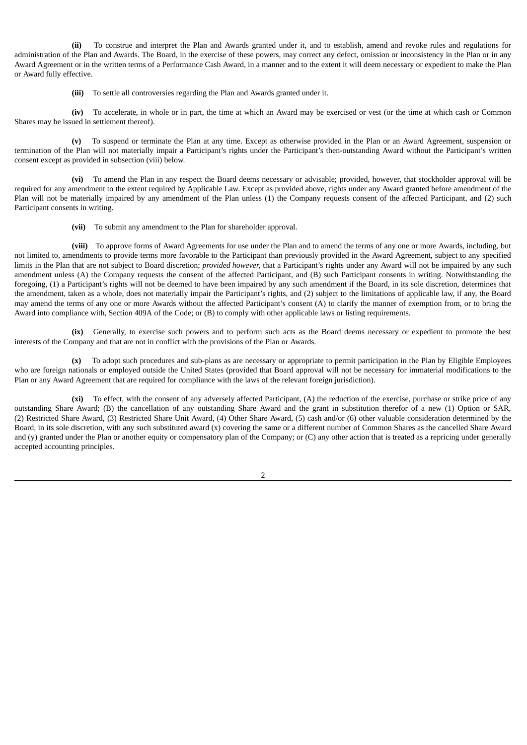**(ii)** To construe and interpret the Plan and Awards granted under it, and to establish, amend and revoke rules and regulations for administration of the Plan and Awards. The Board, in the exercise of these powers, may correct any defect, omission or inconsistency in the Plan or in any Award Agreement or in the written terms of a Performance Cash Award, in a manner and to the extent it will deem necessary or expedient to make the Plan or Award fully effective.

**(iii)** To settle all controversies regarding the Plan and Awards granted under it.

**(iv)** To accelerate, in whole or in part, the time at which an Award may be exercised or vest (or the time at which cash or Common Shares may be issued in settlement thereof).

**(v)** To suspend or terminate the Plan at any time. Except as otherwise provided in the Plan or an Award Agreement, suspension or termination of the Plan will not materially impair a Participant's rights under the Participant's then-outstanding Award without the Participant's written consent except as provided in subsection (viii) below.

**(vi)** To amend the Plan in any respect the Board deems necessary or advisable; provided, however, that stockholder approval will be required for any amendment to the extent required by Applicable Law. Except as provided above, rights under any Award granted before amendment of the Plan will not be materially impaired by any amendment of the Plan unless (1) the Company requests consent of the affected Participant, and (2) such Participant consents in writing.

**(vii)** To submit any amendment to the Plan for shareholder approval.

**(viii)** To approve forms of Award Agreements for use under the Plan and to amend the terms of any one or more Awards, including, but not limited to, amendments to provide terms more favorable to the Participant than previously provided in the Award Agreement, subject to any specified limits in the Plan that are not subject to Board discretion; *provided however,* that a Participant's rights under any Award will not be impaired by any such amendment unless (A) the Company requests the consent of the affected Participant, and (B) such Participant consents in writing. Notwithstanding the foregoing, (1) a Participant's rights will not be deemed to have been impaired by any such amendment if the Board, in its sole discretion, determines that the amendment, taken as a whole, does not materially impair the Participant's rights, and (2) subject to the limitations of applicable law, if any, the Board may amend the terms of any one or more Awards without the affected Participant's consent (A) to clarify the manner of exemption from, or to bring the Award into compliance with, Section 409A of the Code; or (B) to comply with other applicable laws or listing requirements.

**(ix)** Generally, to exercise such powers and to perform such acts as the Board deems necessary or expedient to promote the best interests of the Company and that are not in conflict with the provisions of the Plan or Awards.

**(x)** To adopt such procedures and sub-plans as are necessary or appropriate to permit participation in the Plan by Eligible Employees who are foreign nationals or employed outside the United States (provided that Board approval will not be necessary for immaterial modifications to the Plan or any Award Agreement that are required for compliance with the laws of the relevant foreign jurisdiction).

**(xi)** To effect, with the consent of any adversely affected Participant, (A) the reduction of the exercise, purchase or strike price of any outstanding Share Award; (B) the cancellation of any outstanding Share Award and the grant in substitution therefor of a new (1) Option or SAR, (2) Restricted Share Award, (3) Restricted Share Unit Award, (4) Other Share Award, (5) cash and/or (6) other valuable consideration determined by the Board, in its sole discretion, with any such substituted award (x) covering the same or a different number of Common Shares as the cancelled Share Award and (y) granted under the Plan or another equity or compensatory plan of the Company; or (C) any other action that is treated as a repricing under generally accepted accounting principles.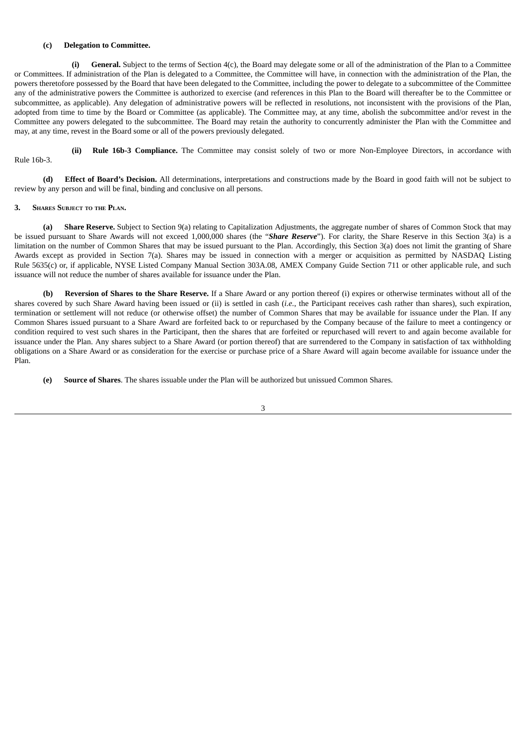#### **(c) Delegation to Committee.**

**(i) General.** Subject to the terms of Section 4(c), the Board may delegate some or all of the administration of the Plan to a Committee or Committees. If administration of the Plan is delegated to a Committee, the Committee will have, in connection with the administration of the Plan, the powers theretofore possessed by the Board that have been delegated to the Committee, including the power to delegate to a subcommittee of the Committee any of the administrative powers the Committee is authorized to exercise (and references in this Plan to the Board will thereafter be to the Committee or subcommittee, as applicable). Any delegation of administrative powers will be reflected in resolutions, not inconsistent with the provisions of the Plan, adopted from time to time by the Board or Committee (as applicable). The Committee may, at any time, abolish the subcommittee and/or revest in the Committee any powers delegated to the subcommittee. The Board may retain the authority to concurrently administer the Plan with the Committee and may, at any time, revest in the Board some or all of the powers previously delegated.

**(ii) Rule 16b-3 Compliance.** The Committee may consist solely of two or more Non-Employee Directors, in accordance with Rule 16b-3.

**(d) Effect of Board's Decision.** All determinations, interpretations and constructions made by the Board in good faith will not be subject to review by any person and will be final, binding and conclusive on all persons.

#### **3. SHARES SUBJECT TO THE PLAN.**

**(a) Share Reserve.** Subject to Section 9(a) relating to Capitalization Adjustments, the aggregate number of shares of Common Stock that may be issued pursuant to Share Awards will not exceed 1,000,000 shares (the "*Share Reserve*"). For clarity, the Share Reserve in this Section 3(a) is a limitation on the number of Common Shares that may be issued pursuant to the Plan. Accordingly, this Section 3(a) does not limit the granting of Share Awards except as provided in Section 7(a). Shares may be issued in connection with a merger or acquisition as permitted by NASDAQ Listing Rule 5635(c) or, if applicable, NYSE Listed Company Manual Section 303A.08, AMEX Company Guide Section 711 or other applicable rule, and such issuance will not reduce the number of shares available for issuance under the Plan.

**(b) Reversion of Shares to the Share Reserve.** If a Share Award or any portion thereof (i) expires or otherwise terminates without all of the shares covered by such Share Award having been issued or (ii) is settled in cash (*i.e.*, the Participant receives cash rather than shares), such expiration, termination or settlement will not reduce (or otherwise offset) the number of Common Shares that may be available for issuance under the Plan. If any Common Shares issued pursuant to a Share Award are forfeited back to or repurchased by the Company because of the failure to meet a contingency or condition required to vest such shares in the Participant, then the shares that are forfeited or repurchased will revert to and again become available for issuance under the Plan. Any shares subject to a Share Award (or portion thereof) that are surrendered to the Company in satisfaction of tax withholding obligations on a Share Award or as consideration for the exercise or purchase price of a Share Award will again become available for issuance under the Plan.

**(e) Source of Shares**. The shares issuable under the Plan will be authorized but unissued Common Shares.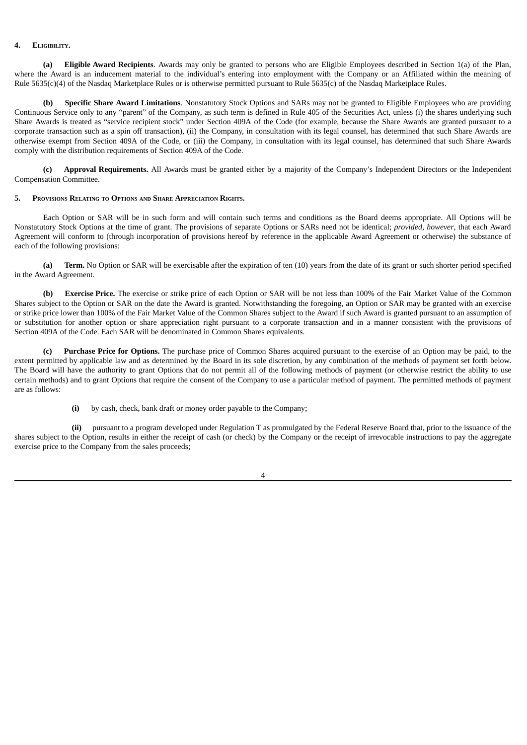#### **4. ELIGIBILITY.**

**(a) Eligible Award Recipients**. Awards may only be granted to persons who are Eligible Employees described in Section 1(a) of the Plan, where the Award is an inducement material to the individual's entering into employment with the Company or an Affiliated within the meaning of Rule 5635(c)(4) of the Nasdaq Marketplace Rules or is otherwise permitted pursuant to Rule 5635(c) of the Nasdaq Marketplace Rules.

**(b) Specific Share Award Limitations**. Nonstatutory Stock Options and SARs may not be granted to Eligible Employees who are providing Continuous Service only to any "parent" of the Company, as such term is defined in Rule 405 of the Securities Act, unless (i) the shares underlying such Share Awards is treated as "service recipient stock" under Section 409A of the Code (for example, because the Share Awards are granted pursuant to a corporate transaction such as a spin off transaction), (ii) the Company, in consultation with its legal counsel, has determined that such Share Awards are otherwise exempt from Section 409A of the Code, or (iii) the Company, in consultation with its legal counsel, has determined that such Share Awards comply with the distribution requirements of Section 409A of the Code.

**(c) Approval Requirements.** All Awards must be granted either by a majority of the Company's Independent Directors or the Independent Compensation Committee.

#### **5. PROVISIONS RELATING TO OPTIONS AND SHARE APPRECIATION RIGHTS.**

Each Option or SAR will be in such form and will contain such terms and conditions as the Board deems appropriate. All Options will be Nonstatutory Stock Options at the time of grant. The provisions of separate Options or SARs need not be identical; *provided, however*, that each Award Agreement will conform to (through incorporation of provisions hereof by reference in the applicable Award Agreement or otherwise) the substance of each of the following provisions:

**(a) Term.** No Option or SAR will be exercisable after the expiration of ten (10) years from the date of its grant or such shorter period specified in the Award Agreement.

**(b) Exercise Price.** The exercise or strike price of each Option or SAR will be not less than 100% of the Fair Market Value of the Common Shares subject to the Option or SAR on the date the Award is granted. Notwithstanding the foregoing, an Option or SAR may be granted with an exercise or strike price lower than 100% of the Fair Market Value of the Common Shares subject to the Award if such Award is granted pursuant to an assumption of or substitution for another option or share appreciation right pursuant to a corporate transaction and in a manner consistent with the provisions of Section 409A of the Code. Each SAR will be denominated in Common Shares equivalents.

**(c) Purchase Price for Options.** The purchase price of Common Shares acquired pursuant to the exercise of an Option may be paid, to the extent permitted by applicable law and as determined by the Board in its sole discretion, by any combination of the methods of payment set forth below. The Board will have the authority to grant Options that do not permit all of the following methods of payment (or otherwise restrict the ability to use certain methods) and to grant Options that require the consent of the Company to use a particular method of payment. The permitted methods of payment are as follows:

**(i)** by cash, check, bank draft or money order payable to the Company;

**(ii)** pursuant to a program developed under Regulation T as promulgated by the Federal Reserve Board that, prior to the issuance of the shares subject to the Option, results in either the receipt of cash (or check) by the Company or the receipt of irrevocable instructions to pay the aggregate exercise price to the Company from the sales proceeds;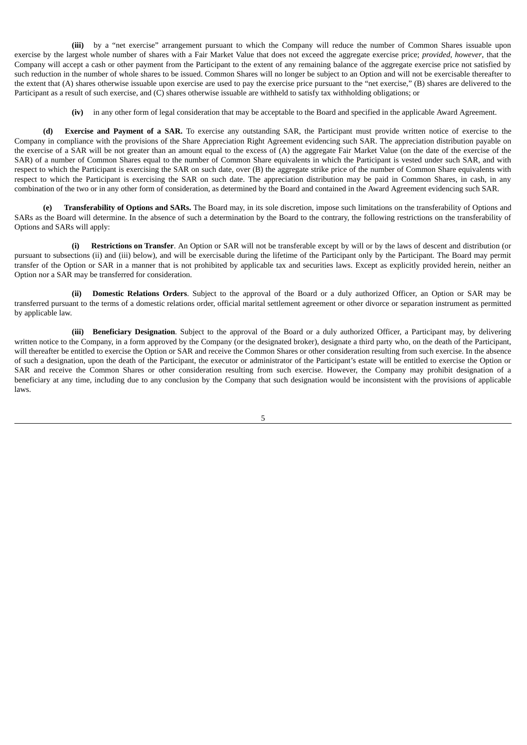**(iii)** by a "net exercise" arrangement pursuant to which the Company will reduce the number of Common Shares issuable upon exercise by the largest whole number of shares with a Fair Market Value that does not exceed the aggregate exercise price; *provided, however*, that the Company will accept a cash or other payment from the Participant to the extent of any remaining balance of the aggregate exercise price not satisfied by such reduction in the number of whole shares to be issued. Common Shares will no longer be subject to an Option and will not be exercisable thereafter to the extent that (A) shares otherwise issuable upon exercise are used to pay the exercise price pursuant to the "net exercise," (B) shares are delivered to the Participant as a result of such exercise, and (C) shares otherwise issuable are withheld to satisfy tax withholding obligations; or

**(iv)** in any other form of legal consideration that may be acceptable to the Board and specified in the applicable Award Agreement.

**(d) Exercise and Payment of a SAR.** To exercise any outstanding SAR, the Participant must provide written notice of exercise to the Company in compliance with the provisions of the Share Appreciation Right Agreement evidencing such SAR. The appreciation distribution payable on the exercise of a SAR will be not greater than an amount equal to the excess of (A) the aggregate Fair Market Value (on the date of the exercise of the SAR) of a number of Common Shares equal to the number of Common Share equivalents in which the Participant is vested under such SAR, and with respect to which the Participant is exercising the SAR on such date, over (B) the aggregate strike price of the number of Common Share equivalents with respect to which the Participant is exercising the SAR on such date. The appreciation distribution may be paid in Common Shares, in cash, in any combination of the two or in any other form of consideration, as determined by the Board and contained in the Award Agreement evidencing such SAR.

**(e) Transferability of Options and SARs.** The Board may, in its sole discretion, impose such limitations on the transferability of Options and SARs as the Board will determine. In the absence of such a determination by the Board to the contrary, the following restrictions on the transferability of Options and SARs will apply:

**(i) Restrictions on Transfer**. An Option or SAR will not be transferable except by will or by the laws of descent and distribution (or pursuant to subsections (ii) and (iii) below), and will be exercisable during the lifetime of the Participant only by the Participant. The Board may permit transfer of the Option or SAR in a manner that is not prohibited by applicable tax and securities laws. Except as explicitly provided herein, neither an Option nor a SAR may be transferred for consideration.

**(ii) Domestic Relations Orders**. Subject to the approval of the Board or a duly authorized Officer, an Option or SAR may be transferred pursuant to the terms of a domestic relations order, official marital settlement agreement or other divorce or separation instrument as permitted by applicable law.

**(iii) Beneficiary Designation**. Subject to the approval of the Board or a duly authorized Officer, a Participant may, by delivering written notice to the Company, in a form approved by the Company (or the designated broker), designate a third party who, on the death of the Participant, will thereafter be entitled to exercise the Option or SAR and receive the Common Shares or other consideration resulting from such exercise. In the absence of such a designation, upon the death of the Participant, the executor or administrator of the Participant's estate will be entitled to exercise the Option or SAR and receive the Common Shares or other consideration resulting from such exercise. However, the Company may prohibit designation of a beneficiary at any time, including due to any conclusion by the Company that such designation would be inconsistent with the provisions of applicable laws.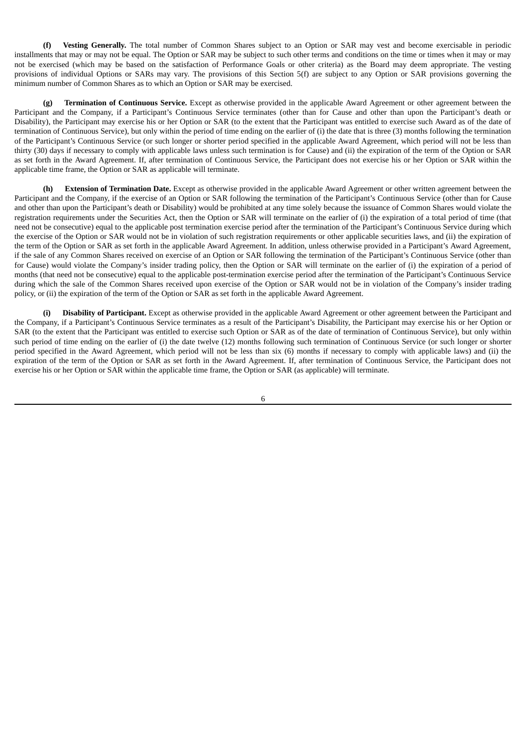**(f) Vesting Generally.** The total number of Common Shares subject to an Option or SAR may vest and become exercisable in periodic installments that may or may not be equal. The Option or SAR may be subject to such other terms and conditions on the time or times when it may or may not be exercised (which may be based on the satisfaction of Performance Goals or other criteria) as the Board may deem appropriate. The vesting provisions of individual Options or SARs may vary. The provisions of this Section 5(f) are subject to any Option or SAR provisions governing the minimum number of Common Shares as to which an Option or SAR may be exercised.

**(g) Termination of Continuous Service.** Except as otherwise provided in the applicable Award Agreement or other agreement between the Participant and the Company, if a Participant's Continuous Service terminates (other than for Cause and other than upon the Participant's death or Disability), the Participant may exercise his or her Option or SAR (to the extent that the Participant was entitled to exercise such Award as of the date of termination of Continuous Service), but only within the period of time ending on the earlier of (i) the date that is three (3) months following the termination of the Participant's Continuous Service (or such longer or shorter period specified in the applicable Award Agreement, which period will not be less than thirty (30) days if necessary to comply with applicable laws unless such termination is for Cause) and (ii) the expiration of the term of the Option or SAR as set forth in the Award Agreement. If, after termination of Continuous Service, the Participant does not exercise his or her Option or SAR within the applicable time frame, the Option or SAR as applicable will terminate.

**(h) Extension of Termination Date.** Except as otherwise provided in the applicable Award Agreement or other written agreement between the Participant and the Company, if the exercise of an Option or SAR following the termination of the Participant's Continuous Service (other than for Cause and other than upon the Participant's death or Disability) would be prohibited at any time solely because the issuance of Common Shares would violate the registration requirements under the Securities Act, then the Option or SAR will terminate on the earlier of (i) the expiration of a total period of time (that need not be consecutive) equal to the applicable post termination exercise period after the termination of the Participant's Continuous Service during which the exercise of the Option or SAR would not be in violation of such registration requirements or other applicable securities laws, and (ii) the expiration of the term of the Option or SAR as set forth in the applicable Award Agreement. In addition, unless otherwise provided in a Participant's Award Agreement, if the sale of any Common Shares received on exercise of an Option or SAR following the termination of the Participant's Continuous Service (other than for Cause) would violate the Company's insider trading policy, then the Option or SAR will terminate on the earlier of (i) the expiration of a period of months (that need not be consecutive) equal to the applicable post-termination exercise period after the termination of the Participant's Continuous Service during which the sale of the Common Shares received upon exercise of the Option or SAR would not be in violation of the Company's insider trading policy, or (ii) the expiration of the term of the Option or SAR as set forth in the applicable Award Agreement.

**(i) Disability of Participant.** Except as otherwise provided in the applicable Award Agreement or other agreement between the Participant and the Company, if a Participant's Continuous Service terminates as a result of the Participant's Disability, the Participant may exercise his or her Option or SAR (to the extent that the Participant was entitled to exercise such Option or SAR as of the date of termination of Continuous Service), but only within such period of time ending on the earlier of (i) the date twelve (12) months following such termination of Continuous Service (or such longer or shorter period specified in the Award Agreement, which period will not be less than six (6) months if necessary to comply with applicable laws) and (ii) the expiration of the term of the Option or SAR as set forth in the Award Agreement. If, after termination of Continuous Service, the Participant does not exercise his or her Option or SAR within the applicable time frame, the Option or SAR (as applicable) will terminate.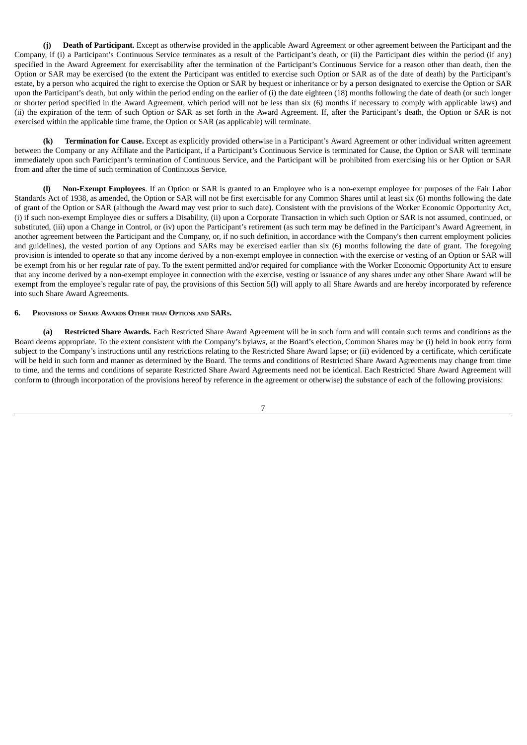**(j) Death of Participant.** Except as otherwise provided in the applicable Award Agreement or other agreement between the Participant and the Company, if (i) a Participant's Continuous Service terminates as a result of the Participant's death, or (ii) the Participant dies within the period (if any) specified in the Award Agreement for exercisability after the termination of the Participant's Continuous Service for a reason other than death, then the Option or SAR may be exercised (to the extent the Participant was entitled to exercise such Option or SAR as of the date of death) by the Participant's estate, by a person who acquired the right to exercise the Option or SAR by bequest or inheritance or by a person designated to exercise the Option or SAR upon the Participant's death, but only within the period ending on the earlier of (i) the date eighteen (18) months following the date of death (or such longer or shorter period specified in the Award Agreement, which period will not be less than six (6) months if necessary to comply with applicable laws) and (ii) the expiration of the term of such Option or SAR as set forth in the Award Agreement. If, after the Participant's death, the Option or SAR is not exercised within the applicable time frame, the Option or SAR (as applicable) will terminate.

**(k) Termination for Cause.** Except as explicitly provided otherwise in a Participant's Award Agreement or other individual written agreement between the Company or any Affiliate and the Participant, if a Participant's Continuous Service is terminated for Cause, the Option or SAR will terminate immediately upon such Participant's termination of Continuous Service, and the Participant will be prohibited from exercising his or her Option or SAR from and after the time of such termination of Continuous Service.

**(l) Non-Exempt Employees**. If an Option or SAR is granted to an Employee who is a non-exempt employee for purposes of the Fair Labor Standards Act of 1938, as amended, the Option or SAR will not be first exercisable for any Common Shares until at least six (6) months following the date of grant of the Option or SAR (although the Award may vest prior to such date). Consistent with the provisions of the Worker Economic Opportunity Act, (i) if such non-exempt Employee dies or suffers a Disability, (ii) upon a Corporate Transaction in which such Option or SAR is not assumed, continued, or substituted, (iii) upon a Change in Control, or (iv) upon the Participant's retirement (as such term may be defined in the Participant's Award Agreement, in another agreement between the Participant and the Company, or, if no such definition, in accordance with the Company's then current employment policies and guidelines), the vested portion of any Options and SARs may be exercised earlier than six (6) months following the date of grant. The foregoing provision is intended to operate so that any income derived by a non-exempt employee in connection with the exercise or vesting of an Option or SAR will be exempt from his or her regular rate of pay. To the extent permitted and/or required for compliance with the Worker Economic Opportunity Act to ensure that any income derived by a non-exempt employee in connection with the exercise, vesting or issuance of any shares under any other Share Award will be exempt from the employee's regular rate of pay, the provisions of this Section 5(l) will apply to all Share Awards and are hereby incorporated by reference into such Share Award Agreements.

#### **6. PROVISIONS OF SHARE AWARDS OTHER THAN OPTIONS AND SARS.**

**(a) Restricted Share Awards.** Each Restricted Share Award Agreement will be in such form and will contain such terms and conditions as the Board deems appropriate. To the extent consistent with the Company's bylaws, at the Board's election, Common Shares may be (i) held in book entry form subject to the Company's instructions until any restrictions relating to the Restricted Share Award lapse; or (ii) evidenced by a certificate, which certificate will be held in such form and manner as determined by the Board. The terms and conditions of Restricted Share Award Agreements may change from time to time, and the terms and conditions of separate Restricted Share Award Agreements need not be identical. Each Restricted Share Award Agreement will conform to (through incorporation of the provisions hereof by reference in the agreement or otherwise) the substance of each of the following provisions: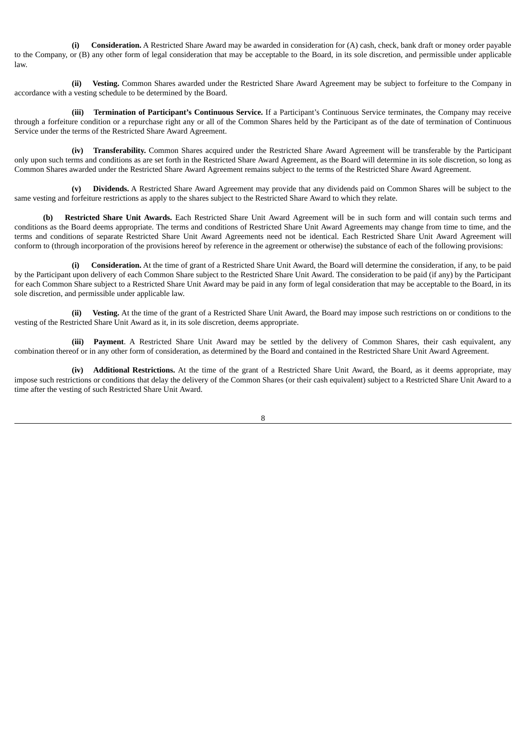**(i) Consideration.** A Restricted Share Award may be awarded in consideration for (A) cash, check, bank draft or money order payable to the Company, or (B) any other form of legal consideration that may be acceptable to the Board, in its sole discretion, and permissible under applicable law.

**(ii) Vesting.** Common Shares awarded under the Restricted Share Award Agreement may be subject to forfeiture to the Company in accordance with a vesting schedule to be determined by the Board.

**(iii) Termination of Participant's Continuous Service.** If a Participant's Continuous Service terminates, the Company may receive through a forfeiture condition or a repurchase right any or all of the Common Shares held by the Participant as of the date of termination of Continuous Service under the terms of the Restricted Share Award Agreement.

**(iv) Transferability.** Common Shares acquired under the Restricted Share Award Agreement will be transferable by the Participant only upon such terms and conditions as are set forth in the Restricted Share Award Agreement, as the Board will determine in its sole discretion, so long as Common Shares awarded under the Restricted Share Award Agreement remains subject to the terms of the Restricted Share Award Agreement.

**(v) Dividends.** A Restricted Share Award Agreement may provide that any dividends paid on Common Shares will be subject to the same vesting and forfeiture restrictions as apply to the shares subject to the Restricted Share Award to which they relate.

**(b) Restricted Share Unit Awards.** Each Restricted Share Unit Award Agreement will be in such form and will contain such terms and conditions as the Board deems appropriate. The terms and conditions of Restricted Share Unit Award Agreements may change from time to time, and the terms and conditions of separate Restricted Share Unit Award Agreements need not be identical. Each Restricted Share Unit Award Agreement will conform to (through incorporation of the provisions hereof by reference in the agreement or otherwise) the substance of each of the following provisions:

**(i) Consideration.** At the time of grant of a Restricted Share Unit Award, the Board will determine the consideration, if any, to be paid by the Participant upon delivery of each Common Share subject to the Restricted Share Unit Award. The consideration to be paid (if any) by the Participant for each Common Share subject to a Restricted Share Unit Award may be paid in any form of legal consideration that may be acceptable to the Board, in its sole discretion, and permissible under applicable law.

**(ii) Vesting.** At the time of the grant of a Restricted Share Unit Award, the Board may impose such restrictions on or conditions to the vesting of the Restricted Share Unit Award as it, in its sole discretion, deems appropriate.

**(iii) Payment**. A Restricted Share Unit Award may be settled by the delivery of Common Shares, their cash equivalent, any combination thereof or in any other form of consideration, as determined by the Board and contained in the Restricted Share Unit Award Agreement.

**(iv) Additional Restrictions.** At the time of the grant of a Restricted Share Unit Award, the Board, as it deems appropriate, may impose such restrictions or conditions that delay the delivery of the Common Shares (or their cash equivalent) subject to a Restricted Share Unit Award to a time after the vesting of such Restricted Share Unit Award.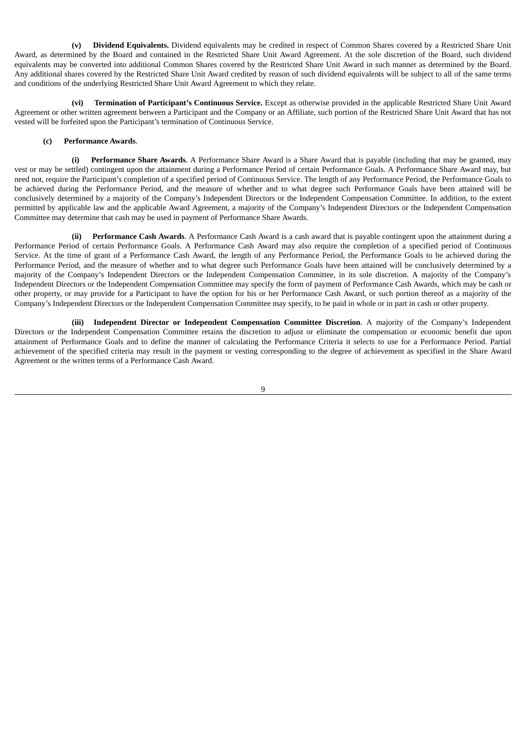**(v) Dividend Equivalents.** Dividend equivalents may be credited in respect of Common Shares covered by a Restricted Share Unit Award, as determined by the Board and contained in the Restricted Share Unit Award Agreement. At the sole discretion of the Board, such dividend equivalents may be converted into additional Common Shares covered by the Restricted Share Unit Award in such manner as determined by the Board. Any additional shares covered by the Restricted Share Unit Award credited by reason of such dividend equivalents will be subject to all of the same terms and conditions of the underlying Restricted Share Unit Award Agreement to which they relate.

**(vi) Termination of Participant's Continuous Service.** Except as otherwise provided in the applicable Restricted Share Unit Award Agreement or other written agreement between a Participant and the Company or an Affiliate, such portion of the Restricted Share Unit Award that has not vested will be forfeited upon the Participant's termination of Continuous Service.

#### **(c) Performance Awards**.

**(i) Performance Share Awards**. A Performance Share Award is a Share Award that is payable (including that may be granted, may vest or may be settled) contingent upon the attainment during a Performance Period of certain Performance Goals. A Performance Share Award may, but need not, require the Participant's completion of a specified period of Continuous Service. The length of any Performance Period, the Performance Goals to be achieved during the Performance Period, and the measure of whether and to what degree such Performance Goals have been attained will be conclusively determined by a majority of the Company's Independent Directors or the Independent Compensation Committee. In addition, to the extent permitted by applicable law and the applicable Award Agreement, a majority of the Company's Independent Directors or the Independent Compensation Committee may determine that cash may be used in payment of Performance Share Awards.

**(ii) Performance Cash Awards**. A Performance Cash Award is a cash award that is payable contingent upon the attainment during a Performance Period of certain Performance Goals. A Performance Cash Award may also require the completion of a specified period of Continuous Service. At the time of grant of a Performance Cash Award, the length of any Performance Period, the Performance Goals to be achieved during the Performance Period, and the measure of whether and to what degree such Performance Goals have been attained will be conclusively determined by a majority of the Company's Independent Directors or the Independent Compensation Committee, in its sole discretion. A majority of the Company's Independent Directors or the Independent Compensation Committee may specify the form of payment of Performance Cash Awards, which may be cash or other property, or may provide for a Participant to have the option for his or her Performance Cash Award, or such portion thereof as a majority of the Company's Independent Directors or the Independent Compensation Committee may specify, to be paid in whole or in part in cash or other property.

**(iii) Independent Director or Independent Compensation Committee Discretion**. A majority of the Company's Independent Directors or the Independent Compensation Committee retains the discretion to adjust or eliminate the compensation or economic benefit due upon attainment of Performance Goals and to define the manner of calculating the Performance Criteria it selects to use for a Performance Period. Partial achievement of the specified criteria may result in the payment or vesting corresponding to the degree of achievement as specified in the Share Award Agreement or the written terms of a Performance Cash Award.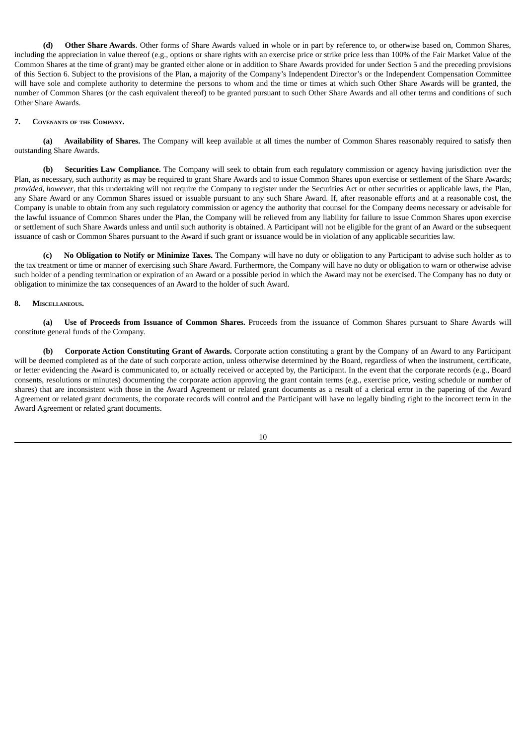**(d) Other Share Awards**. Other forms of Share Awards valued in whole or in part by reference to, or otherwise based on, Common Shares, including the appreciation in value thereof (e.g., options or share rights with an exercise price or strike price less than 100% of the Fair Market Value of the Common Shares at the time of grant) may be granted either alone or in addition to Share Awards provided for under Section 5 and the preceding provisions of this Section 6. Subject to the provisions of the Plan, a majority of the Company's Independent Director's or the Independent Compensation Committee will have sole and complete authority to determine the persons to whom and the time or times at which such Other Share Awards will be granted, the number of Common Shares (or the cash equivalent thereof) to be granted pursuant to such Other Share Awards and all other terms and conditions of such Other Share Awards.

#### **7. COVENANTS OF THE COMPANY.**

**(a) Availability of Shares.** The Company will keep available at all times the number of Common Shares reasonably required to satisfy then outstanding Share Awards.

**(b) Securities Law Compliance.** The Company will seek to obtain from each regulatory commission or agency having jurisdiction over the Plan, as necessary, such authority as may be required to grant Share Awards and to issue Common Shares upon exercise or settlement of the Share Awards; *provided, however*, that this undertaking will not require the Company to register under the Securities Act or other securities or applicable laws, the Plan, any Share Award or any Common Shares issued or issuable pursuant to any such Share Award. If, after reasonable efforts and at a reasonable cost, the Company is unable to obtain from any such regulatory commission or agency the authority that counsel for the Company deems necessary or advisable for the lawful issuance of Common Shares under the Plan, the Company will be relieved from any liability for failure to issue Common Shares upon exercise or settlement of such Share Awards unless and until such authority is obtained. A Participant will not be eligible for the grant of an Award or the subsequent issuance of cash or Common Shares pursuant to the Award if such grant or issuance would be in violation of any applicable securities law.

**(c) No Obligation to Notify or Minimize Taxes.** The Company will have no duty or obligation to any Participant to advise such holder as to the tax treatment or time or manner of exercising such Share Award. Furthermore, the Company will have no duty or obligation to warn or otherwise advise such holder of a pending termination or expiration of an Award or a possible period in which the Award may not be exercised. The Company has no duty or obligation to minimize the tax consequences of an Award to the holder of such Award.

#### **8. MISCELLANEOUS.**

**(a) Use of Proceeds from Issuance of Common Shares.** Proceeds from the issuance of Common Shares pursuant to Share Awards will constitute general funds of the Company.

**(b) Corporate Action Constituting Grant of Awards.** Corporate action constituting a grant by the Company of an Award to any Participant will be deemed completed as of the date of such corporate action, unless otherwise determined by the Board, regardless of when the instrument, certificate, or letter evidencing the Award is communicated to, or actually received or accepted by, the Participant. In the event that the corporate records (e.g., Board consents, resolutions or minutes) documenting the corporate action approving the grant contain terms (e.g., exercise price, vesting schedule or number of shares) that are inconsistent with those in the Award Agreement or related grant documents as a result of a clerical error in the papering of the Award Agreement or related grant documents, the corporate records will control and the Participant will have no legally binding right to the incorrect term in the Award Agreement or related grant documents.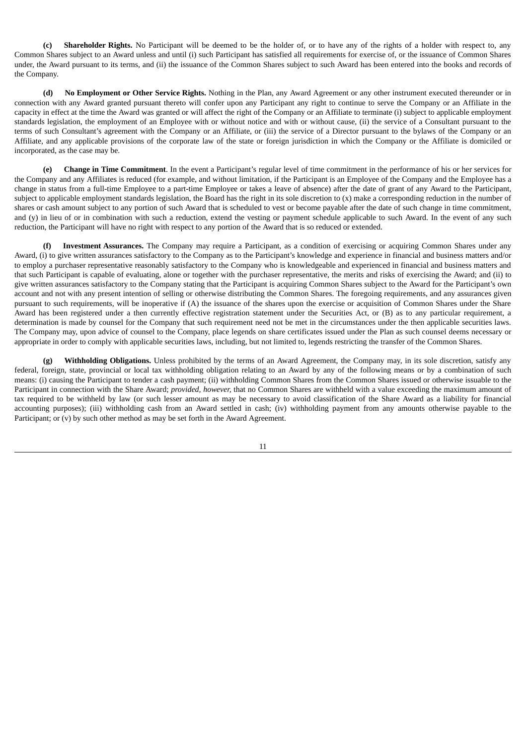**(c) Shareholder Rights.** No Participant will be deemed to be the holder of, or to have any of the rights of a holder with respect to, any Common Shares subject to an Award unless and until (i) such Participant has satisfied all requirements for exercise of, or the issuance of Common Shares under, the Award pursuant to its terms, and (ii) the issuance of the Common Shares subject to such Award has been entered into the books and records of the Company.

**(d) No Employment or Other Service Rights.** Nothing in the Plan, any Award Agreement or any other instrument executed thereunder or in connection with any Award granted pursuant thereto will confer upon any Participant any right to continue to serve the Company or an Affiliate in the capacity in effect at the time the Award was granted or will affect the right of the Company or an Affiliate to terminate (i) subject to applicable employment standards legislation, the employment of an Employee with or without notice and with or without cause, (ii) the service of a Consultant pursuant to the terms of such Consultant's agreement with the Company or an Affiliate, or (iii) the service of a Director pursuant to the bylaws of the Company or an Affiliate, and any applicable provisions of the corporate law of the state or foreign jurisdiction in which the Company or the Affiliate is domiciled or incorporated, as the case may be.

**(e) Change in Time Commitment**. In the event a Participant's regular level of time commitment in the performance of his or her services for the Company and any Affiliates is reduced (for example, and without limitation, if the Participant is an Employee of the Company and the Employee has a change in status from a full-time Employee to a part-time Employee or takes a leave of absence) after the date of grant of any Award to the Participant, subject to applicable employment standards legislation, the Board has the right in its sole discretion to (x) make a corresponding reduction in the number of shares or cash amount subject to any portion of such Award that is scheduled to vest or become payable after the date of such change in time commitment, and (y) in lieu of or in combination with such a reduction, extend the vesting or payment schedule applicable to such Award. In the event of any such reduction, the Participant will have no right with respect to any portion of the Award that is so reduced or extended.

**(f) Investment Assurances.** The Company may require a Participant, as a condition of exercising or acquiring Common Shares under any Award, (i) to give written assurances satisfactory to the Company as to the Participant's knowledge and experience in financial and business matters and/or to employ a purchaser representative reasonably satisfactory to the Company who is knowledgeable and experienced in financial and business matters and that such Participant is capable of evaluating, alone or together with the purchaser representative, the merits and risks of exercising the Award; and (ii) to give written assurances satisfactory to the Company stating that the Participant is acquiring Common Shares subject to the Award for the Participant's own account and not with any present intention of selling or otherwise distributing the Common Shares. The foregoing requirements, and any assurances given pursuant to such requirements, will be inoperative if (A) the issuance of the shares upon the exercise or acquisition of Common Shares under the Share Award has been registered under a then currently effective registration statement under the Securities Act, or (B) as to any particular requirement, a determination is made by counsel for the Company that such requirement need not be met in the circumstances under the then applicable securities laws. The Company may, upon advice of counsel to the Company, place legends on share certificates issued under the Plan as such counsel deems necessary or appropriate in order to comply with applicable securities laws, including, but not limited to, legends restricting the transfer of the Common Shares.

**(g) Withholding Obligations.** Unless prohibited by the terms of an Award Agreement, the Company may, in its sole discretion, satisfy any federal, foreign, state, provincial or local tax withholding obligation relating to an Award by any of the following means or by a combination of such means: (i) causing the Participant to tender a cash payment; (ii) withholding Common Shares from the Common Shares issued or otherwise issuable to the Participant in connection with the Share Award; *provided, however,* that no Common Shares are withheld with a value exceeding the maximum amount of tax required to be withheld by law (or such lesser amount as may be necessary to avoid classification of the Share Award as a liability for financial accounting purposes); (iii) withholding cash from an Award settled in cash; (iv) withholding payment from any amounts otherwise payable to the Participant; or (v) by such other method as may be set forth in the Award Agreement.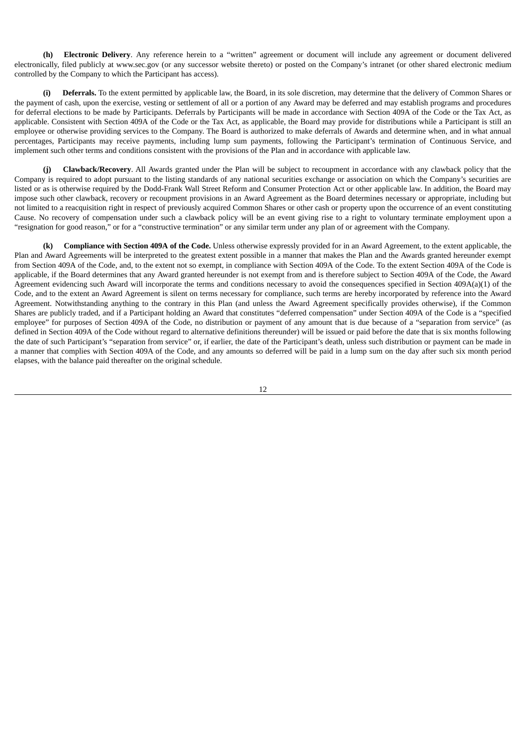**(h) Electronic Delivery**. Any reference herein to a "written" agreement or document will include any agreement or document delivered electronically, filed publicly at www.sec.gov (or any successor website thereto) or posted on the Company's intranet (or other shared electronic medium controlled by the Company to which the Participant has access).

**(i) Deferrals.** To the extent permitted by applicable law, the Board, in its sole discretion, may determine that the delivery of Common Shares or the payment of cash, upon the exercise, vesting or settlement of all or a portion of any Award may be deferred and may establish programs and procedures for deferral elections to be made by Participants. Deferrals by Participants will be made in accordance with Section 409A of the Code or the Tax Act, as applicable. Consistent with Section 409A of the Code or the Tax Act, as applicable, the Board may provide for distributions while a Participant is still an employee or otherwise providing services to the Company. The Board is authorized to make deferrals of Awards and determine when, and in what annual percentages, Participants may receive payments, including lump sum payments, following the Participant's termination of Continuous Service, and implement such other terms and conditions consistent with the provisions of the Plan and in accordance with applicable law.

**(j) Clawback/Recovery**. All Awards granted under the Plan will be subject to recoupment in accordance with any clawback policy that the Company is required to adopt pursuant to the listing standards of any national securities exchange or association on which the Company's securities are listed or as is otherwise required by the Dodd-Frank Wall Street Reform and Consumer Protection Act or other applicable law. In addition, the Board may impose such other clawback, recovery or recoupment provisions in an Award Agreement as the Board determines necessary or appropriate, including but not limited to a reacquisition right in respect of previously acquired Common Shares or other cash or property upon the occurrence of an event constituting Cause. No recovery of compensation under such a clawback policy will be an event giving rise to a right to voluntary terminate employment upon a "resignation for good reason," or for a "constructive termination" or any similar term under any plan of or agreement with the Company.

**(k) Compliance with Section 409A of the Code.** Unless otherwise expressly provided for in an Award Agreement, to the extent applicable, the Plan and Award Agreements will be interpreted to the greatest extent possible in a manner that makes the Plan and the Awards granted hereunder exempt from Section 409A of the Code, and, to the extent not so exempt, in compliance with Section 409A of the Code. To the extent Section 409A of the Code is applicable, if the Board determines that any Award granted hereunder is not exempt from and is therefore subject to Section 409A of the Code, the Award Agreement evidencing such Award will incorporate the terms and conditions necessary to avoid the consequences specified in Section 409A(a)(1) of the Code, and to the extent an Award Agreement is silent on terms necessary for compliance, such terms are hereby incorporated by reference into the Award Agreement. Notwithstanding anything to the contrary in this Plan (and unless the Award Agreement specifically provides otherwise), if the Common Shares are publicly traded, and if a Participant holding an Award that constitutes "deferred compensation" under Section 409A of the Code is a "specified employee" for purposes of Section 409A of the Code, no distribution or payment of any amount that is due because of a "separation from service" (as defined in Section 409A of the Code without regard to alternative definitions thereunder) will be issued or paid before the date that is six months following the date of such Participant's "separation from service" or, if earlier, the date of the Participant's death, unless such distribution or payment can be made in a manner that complies with Section 409A of the Code, and any amounts so deferred will be paid in a lump sum on the day after such six month period elapses, with the balance paid thereafter on the original schedule.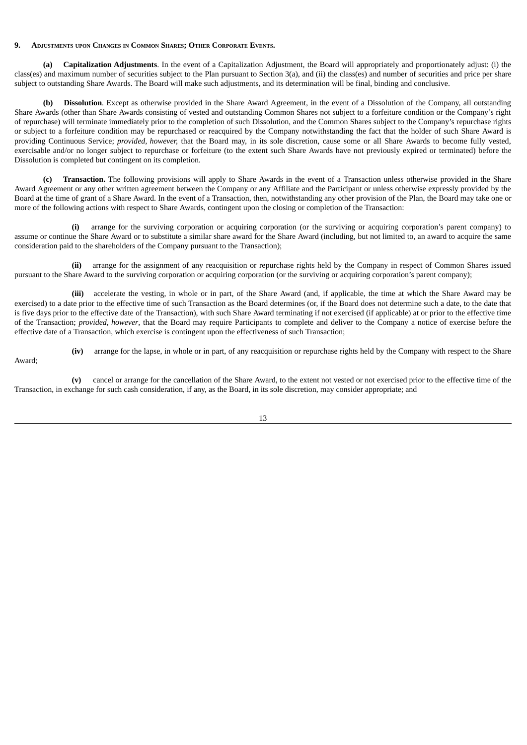#### **9. ADJUSTMENTS UPON CHANGES IN COMMON SHARES; OTHER CORPORATE EVENTS.**

**(a) Capitalization Adjustments**. In the event of a Capitalization Adjustment, the Board will appropriately and proportionately adjust: (i) the class(es) and maximum number of securities subject to the Plan pursuant to Section 3(a), and (ii) the class(es) and number of securities and price per share subject to outstanding Share Awards. The Board will make such adjustments, and its determination will be final, binding and conclusive.

**(b) Dissolution**. Except as otherwise provided in the Share Award Agreement, in the event of a Dissolution of the Company, all outstanding Share Awards (other than Share Awards consisting of vested and outstanding Common Shares not subject to a forfeiture condition or the Company's right of repurchase) will terminate immediately prior to the completion of such Dissolution, and the Common Shares subject to the Company's repurchase rights or subject to a forfeiture condition may be repurchased or reacquired by the Company notwithstanding the fact that the holder of such Share Award is providing Continuous Service; *provided, however,* that the Board may, in its sole discretion, cause some or all Share Awards to become fully vested, exercisable and/or no longer subject to repurchase or forfeiture (to the extent such Share Awards have not previously expired or terminated) before the Dissolution is completed but contingent on its completion.

**(c) Transaction.** The following provisions will apply to Share Awards in the event of a Transaction unless otherwise provided in the Share Award Agreement or any other written agreement between the Company or any Affiliate and the Participant or unless otherwise expressly provided by the Board at the time of grant of a Share Award. In the event of a Transaction, then, notwithstanding any other provision of the Plan, the Board may take one or more of the following actions with respect to Share Awards, contingent upon the closing or completion of the Transaction:

**(i)** arrange for the surviving corporation or acquiring corporation (or the surviving or acquiring corporation's parent company) to assume or continue the Share Award or to substitute a similar share award for the Share Award (including, but not limited to, an award to acquire the same consideration paid to the shareholders of the Company pursuant to the Transaction);

**(ii)** arrange for the assignment of any reacquisition or repurchase rights held by the Company in respect of Common Shares issued pursuant to the Share Award to the surviving corporation or acquiring corporation (or the surviving or acquiring corporation's parent company);

**(iii)** accelerate the vesting, in whole or in part, of the Share Award (and, if applicable, the time at which the Share Award may be exercised) to a date prior to the effective time of such Transaction as the Board determines (or, if the Board does not determine such a date, to the date that is five days prior to the effective date of the Transaction), with such Share Award terminating if not exercised (if applicable) at or prior to the effective time of the Transaction; *provided, however*, that the Board may require Participants to complete and deliver to the Company a notice of exercise before the effective date of a Transaction, which exercise is contingent upon the effectiveness of such Transaction;

**(iv)** arrange for the lapse, in whole or in part, of any reacquisition or repurchase rights held by the Company with respect to the Share

Award;

**(v)** cancel or arrange for the cancellation of the Share Award, to the extent not vested or not exercised prior to the effective time of the Transaction, in exchange for such cash consideration, if any, as the Board, in its sole discretion, may consider appropriate; and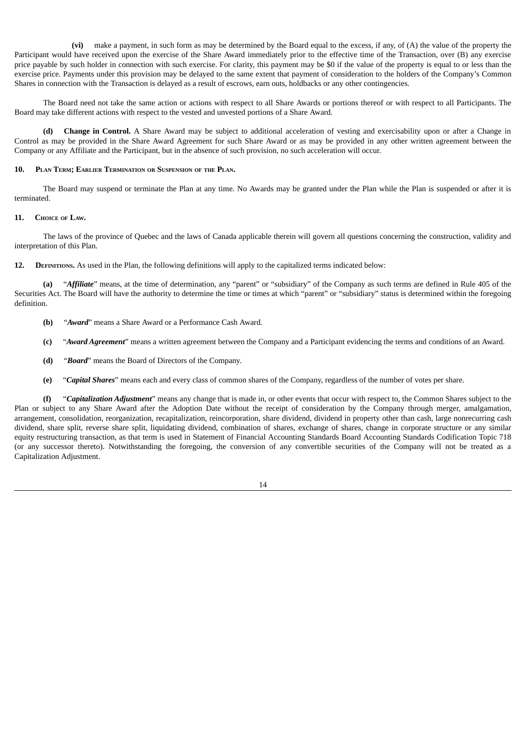**(vi)** make a payment, in such form as may be determined by the Board equal to the excess, if any, of (A) the value of the property the Participant would have received upon the exercise of the Share Award immediately prior to the effective time of the Transaction, over (B) any exercise price payable by such holder in connection with such exercise. For clarity, this payment may be \$0 if the value of the property is equal to or less than the exercise price. Payments under this provision may be delayed to the same extent that payment of consideration to the holders of the Company's Common Shares in connection with the Transaction is delayed as a result of escrows, earn outs, holdbacks or any other contingencies.

The Board need not take the same action or actions with respect to all Share Awards or portions thereof or with respect to all Participants. The Board may take different actions with respect to the vested and unvested portions of a Share Award.

**(d) Change in Control.** A Share Award may be subject to additional acceleration of vesting and exercisability upon or after a Change in Control as may be provided in the Share Award Agreement for such Share Award or as may be provided in any other written agreement between the Company or any Affiliate and the Participant, but in the absence of such provision, no such acceleration will occur.

#### **10. PLAN TERM; EARLIER TERMINATION OR SUSPENSION OF THE PLAN.**

The Board may suspend or terminate the Plan at any time. No Awards may be granted under the Plan while the Plan is suspended or after it is terminated.

#### **11. CHOICE OF LAW.**

The laws of the province of Quebec and the laws of Canada applicable therein will govern all questions concerning the construction, validity and interpretation of this Plan.

**12. DEFINITIONS.** As used in the Plan, the following definitions will apply to the capitalized terms indicated below:

**(a)** "*Affiliate*" means, at the time of determination, any "parent" or "subsidiary" of the Company as such terms are defined in Rule 405 of the Securities Act. The Board will have the authority to determine the time or times at which "parent" or "subsidiary" status is determined within the foregoing definition.

- **(b)** "*Award*" means a Share Award or a Performance Cash Award.
- **(c)** "*Award Agreement*" means a written agreement between the Company and a Participant evidencing the terms and conditions of an Award.
- **(d)** "*Board*" means the Board of Directors of the Company.
- **(e)** "*Capital Shares*" means each and every class of common shares of the Company, regardless of the number of votes per share.

**(f)** "*Capitalization Adjustment*" means any change that is made in, or other events that occur with respect to, the Common Shares subject to the Plan or subject to any Share Award after the Adoption Date without the receipt of consideration by the Company through merger, amalgamation, arrangement, consolidation, reorganization, recapitalization, reincorporation, share dividend, dividend in property other than cash, large nonrecurring cash dividend, share split, reverse share split, liquidating dividend, combination of shares, exchange of shares, change in corporate structure or any similar equity restructuring transaction, as that term is used in Statement of Financial Accounting Standards Board Accounting Standards Codification Topic 718 (or any successor thereto). Notwithstanding the foregoing, the conversion of any convertible securities of the Company will not be treated as a Capitalization Adjustment.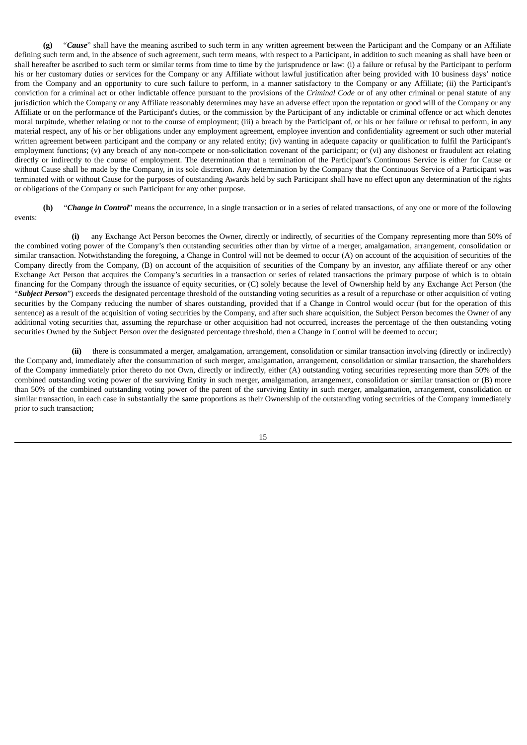**(g)** "*Cause*" shall have the meaning ascribed to such term in any written agreement between the Participant and the Company or an Affiliate defining such term and, in the absence of such agreement, such term means, with respect to a Participant, in addition to such meaning as shall have been or shall hereafter be ascribed to such term or similar terms from time to time by the jurisprudence or law: (i) a failure or refusal by the Participant to perform his or her customary duties or services for the Company or any Affiliate without lawful justification after being provided with 10 business days' notice from the Company and an opportunity to cure such failure to perform, in a manner satisfactory to the Company or any Affiliate; (ii) the Participant's conviction for a criminal act or other indictable offence pursuant to the provisions of the *Criminal Code* or of any other criminal or penal statute of any jurisdiction which the Company or any Affiliate reasonably determines may have an adverse effect upon the reputation or good will of the Company or any Affiliate or on the performance of the Participant's duties, or the commission by the Participant of any indictable or criminal offence or act which denotes moral turpitude, whether relating or not to the course of employment; (iii) a breach by the Participant of, or his or her failure or refusal to perform, in any material respect, any of his or her obligations under any employment agreement, employee invention and confidentiality agreement or such other material written agreement between participant and the company or any related entity; (iv) wanting in adequate capacity or qualification to fulfil the Participant's employment functions; (v) any breach of any non-compete or non-solicitation covenant of the participant; or (vi) any dishonest or fraudulent act relating directly or indirectly to the course of employment. The determination that a termination of the Participant's Continuous Service is either for Cause or without Cause shall be made by the Company, in its sole discretion. Any determination by the Company that the Continuous Service of a Participant was terminated with or without Cause for the purposes of outstanding Awards held by such Participant shall have no effect upon any determination of the rights or obligations of the Company or such Participant for any other purpose.

**(h)** "*Change in Control*" means the occurrence, in a single transaction or in a series of related transactions, of any one or more of the following events:

**(i)** any Exchange Act Person becomes the Owner, directly or indirectly, of securities of the Company representing more than 50% of the combined voting power of the Company's then outstanding securities other than by virtue of a merger, amalgamation, arrangement, consolidation or similar transaction. Notwithstanding the foregoing, a Change in Control will not be deemed to occur (A) on account of the acquisition of securities of the Company directly from the Company, (B) on account of the acquisition of securities of the Company by an investor, any affiliate thereof or any other Exchange Act Person that acquires the Company's securities in a transaction or series of related transactions the primary purpose of which is to obtain financing for the Company through the issuance of equity securities, or (C) solely because the level of Ownership held by any Exchange Act Person (the "*Subject Person*") exceeds the designated percentage threshold of the outstanding voting securities as a result of a repurchase or other acquisition of voting securities by the Company reducing the number of shares outstanding, provided that if a Change in Control would occur (but for the operation of this sentence) as a result of the acquisition of voting securities by the Company, and after such share acquisition, the Subject Person becomes the Owner of any additional voting securities that, assuming the repurchase or other acquisition had not occurred, increases the percentage of the then outstanding voting securities Owned by the Subject Person over the designated percentage threshold, then a Change in Control will be deemed to occur;

**(ii)** there is consummated a merger, amalgamation, arrangement, consolidation or similar transaction involving (directly or indirectly) the Company and, immediately after the consummation of such merger, amalgamation, arrangement, consolidation or similar transaction, the shareholders of the Company immediately prior thereto do not Own, directly or indirectly, either (A) outstanding voting securities representing more than 50% of the combined outstanding voting power of the surviving Entity in such merger, amalgamation, arrangement, consolidation or similar transaction or (B) more than 50% of the combined outstanding voting power of the parent of the surviving Entity in such merger, amalgamation, arrangement, consolidation or similar transaction, in each case in substantially the same proportions as their Ownership of the outstanding voting securities of the Company immediately prior to such transaction;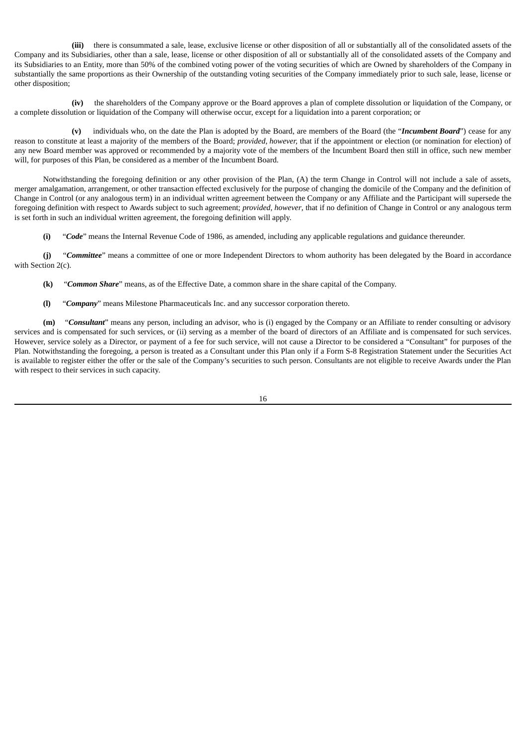**(iii)** there is consummated a sale, lease, exclusive license or other disposition of all or substantially all of the consolidated assets of the Company and its Subsidiaries, other than a sale, lease, license or other disposition of all or substantially all of the consolidated assets of the Company and its Subsidiaries to an Entity, more than 50% of the combined voting power of the voting securities of which are Owned by shareholders of the Company in substantially the same proportions as their Ownership of the outstanding voting securities of the Company immediately prior to such sale, lease, license or other disposition;

**(iv)** the shareholders of the Company approve or the Board approves a plan of complete dissolution or liquidation of the Company, or a complete dissolution or liquidation of the Company will otherwise occur, except for a liquidation into a parent corporation; or

**(v)** individuals who, on the date the Plan is adopted by the Board, are members of the Board (the "*Incumbent Board*") cease for any reason to constitute at least a majority of the members of the Board; *provided, however,* that if the appointment or election (or nomination for election) of any new Board member was approved or recommended by a majority vote of the members of the Incumbent Board then still in office, such new member will, for purposes of this Plan, be considered as a member of the Incumbent Board.

Notwithstanding the foregoing definition or any other provision of the Plan, (A) the term Change in Control will not include a sale of assets, merger amalgamation, arrangement, or other transaction effected exclusively for the purpose of changing the domicile of the Company and the definition of Change in Control (or any analogous term) in an individual written agreement between the Company or any Affiliate and the Participant will supersede the foregoing definition with respect to Awards subject to such agreement; *provided, however*, that if no definition of Change in Control or any analogous term is set forth in such an individual written agreement, the foregoing definition will apply.

**(i)** "*Code*" means the Internal Revenue Code of 1986, as amended, including any applicable regulations and guidance thereunder.

**(j)** "*Committee*" means a committee of one or more Independent Directors to whom authority has been delegated by the Board in accordance with Section 2(c).

**(k)** "*Common Share*" means, as of the Effective Date, a common share in the share capital of the Company.

**(l)** "*Company*" means Milestone Pharmaceuticals Inc. and any successor corporation thereto.

**(m)** "*Consultant*" means any person, including an advisor, who is (i) engaged by the Company or an Affiliate to render consulting or advisory services and is compensated for such services, or (ii) serving as a member of the board of directors of an Affiliate and is compensated for such services. However, service solely as a Director, or payment of a fee for such service, will not cause a Director to be considered a "Consultant" for purposes of the Plan. Notwithstanding the foregoing, a person is treated as a Consultant under this Plan only if a Form S-8 Registration Statement under the Securities Act is available to register either the offer or the sale of the Company's securities to such person. Consultants are not eligible to receive Awards under the Plan with respect to their services in such capacity.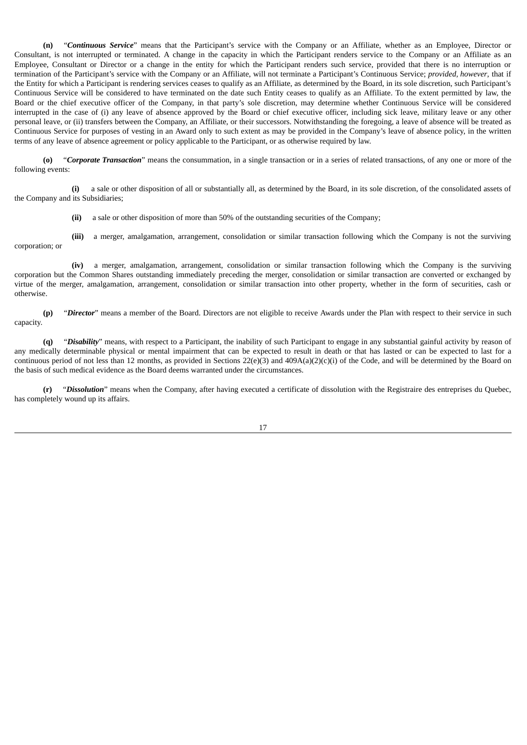**(n)** "*Continuous Service*" means that the Participant's service with the Company or an Affiliate, whether as an Employee, Director or Consultant, is not interrupted or terminated. A change in the capacity in which the Participant renders service to the Company or an Affiliate as an Employee, Consultant or Director or a change in the entity for which the Participant renders such service, provided that there is no interruption or termination of the Participant's service with the Company or an Affiliate, will not terminate a Participant's Continuous Service; *provided, however*, that if the Entity for which a Participant is rendering services ceases to qualify as an Affiliate, as determined by the Board, in its sole discretion, such Participant's Continuous Service will be considered to have terminated on the date such Entity ceases to qualify as an Affiliate. To the extent permitted by law, the Board or the chief executive officer of the Company, in that party's sole discretion, may determine whether Continuous Service will be considered interrupted in the case of (i) any leave of absence approved by the Board or chief executive officer, including sick leave, military leave or any other personal leave, or (ii) transfers between the Company, an Affiliate, or their successors. Notwithstanding the foregoing, a leave of absence will be treated as Continuous Service for purposes of vesting in an Award only to such extent as may be provided in the Company's leave of absence policy, in the written terms of any leave of absence agreement or policy applicable to the Participant, or as otherwise required by law.

**(o)** "*Corporate Transaction*" means the consummation, in a single transaction or in a series of related transactions, of any one or more of the following events:

**(i)** a sale or other disposition of all or substantially all, as determined by the Board, in its sole discretion, of the consolidated assets of the Company and its Subsidiaries;

**(ii)** a sale or other disposition of more than 50% of the outstanding securities of the Company;

**(iii)** a merger, amalgamation, arrangement, consolidation or similar transaction following which the Company is not the surviving corporation; or

**(iv)** a merger, amalgamation, arrangement, consolidation or similar transaction following which the Company is the surviving corporation but the Common Shares outstanding immediately preceding the merger, consolidation or similar transaction are converted or exchanged by virtue of the merger, amalgamation, arrangement, consolidation or similar transaction into other property, whether in the form of securities, cash or otherwise.

**(p)** "*Director*" means a member of the Board. Directors are not eligible to receive Awards under the Plan with respect to their service in such capacity.

**(q)** "*Disability*" means, with respect to a Participant, the inability of such Participant to engage in any substantial gainful activity by reason of any medically determinable physical or mental impairment that can be expected to result in death or that has lasted or can be expected to last for a continuous period of not less than 12 months, as provided in Sections 22(e)(3) and 409A(a)(2)(c)(i) of the Code, and will be determined by the Board on the basis of such medical evidence as the Board deems warranted under the circumstances.

**(r)** "*Dissolution*" means when the Company, after having executed a certificate of dissolution with the Registraire des entreprises du Quebec, has completely wound up its affairs.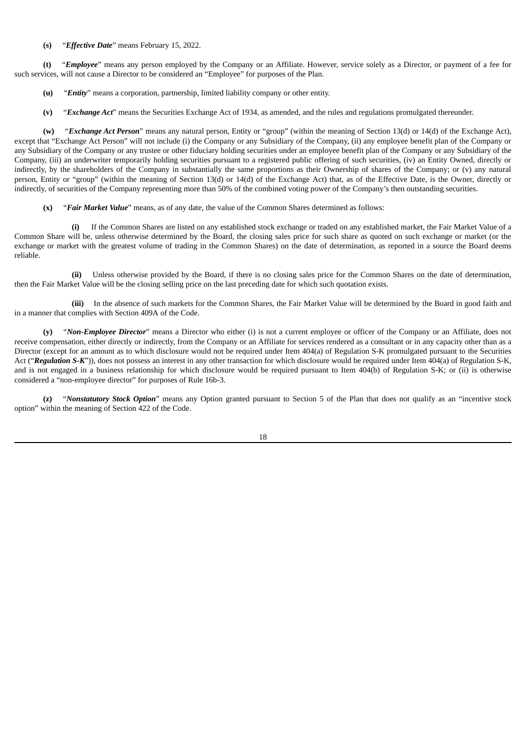#### **(s)** "*Effective Date*" means February 15, 2022.

**(t)** "*Employee*" means any person employed by the Company or an Affiliate. However, service solely as a Director, or payment of a fee for such services, will not cause a Director to be considered an "Employee" for purposes of the Plan.

- **(u)** "*Entity*" means a corporation, partnership, limited liability company or other entity.
- **(v)** "*Exchange Act*" means the Securities Exchange Act of 1934, as amended, and the rules and regulations promulgated thereunder.

**(w)** "*Exchange Act Person*" means any natural person, Entity or "group" (within the meaning of Section 13(d) or 14(d) of the Exchange Act), except that "Exchange Act Person" will not include (i) the Company or any Subsidiary of the Company, (ii) any employee benefit plan of the Company or any Subsidiary of the Company or any trustee or other fiduciary holding securities under an employee benefit plan of the Company or any Subsidiary of the Company, (iii) an underwriter temporarily holding securities pursuant to a registered public offering of such securities, (iv) an Entity Owned, directly or indirectly, by the shareholders of the Company in substantially the same proportions as their Ownership of shares of the Company; or (v) any natural person, Entity or "group" (within the meaning of Section 13(d) or 14(d) of the Exchange Act) that, as of the Effective Date, is the Owner, directly or indirectly, of securities of the Company representing more than 50% of the combined voting power of the Company's then outstanding securities.

**(x)** "*Fair Market Value*" means, as of any date, the value of the Common Shares determined as follows:

**(i)** If the Common Shares are listed on any established stock exchange or traded on any established market, the Fair Market Value of a Common Share will be, unless otherwise determined by the Board, the closing sales price for such share as quoted on such exchange or market (or the exchange or market with the greatest volume of trading in the Common Shares) on the date of determination, as reported in a source the Board deems reliable.

**(ii)** Unless otherwise provided by the Board, if there is no closing sales price for the Common Shares on the date of determination, then the Fair Market Value will be the closing selling price on the last preceding date for which such quotation exists.

**(iii)** In the absence of such markets for the Common Shares, the Fair Market Value will be determined by the Board in good faith and in a manner that complies with Section 409A of the Code.

**(y)** "*Non-Employee Director*" means a Director who either (i) is not a current employee or officer of the Company or an Affiliate, does not receive compensation, either directly or indirectly, from the Company or an Affiliate for services rendered as a consultant or in any capacity other than as a Director (except for an amount as to which disclosure would not be required under Item 404(a) of Regulation S-K promulgated pursuant to the Securities Act ("*Regulation S-K*")), does not possess an interest in any other transaction for which disclosure would be required under Item 404(a) of Regulation S-K, and is not engaged in a business relationship for which disclosure would be required pursuant to Item 404(b) of Regulation S-K; or (ii) is otherwise considered a "non-employee director" for purposes of Rule 16b-3.

**(z)** "*Nonstatutory Stock Option*" means any Option granted pursuant to Section 5 of the Plan that does not qualify as an "incentive stock option" within the meaning of Section 422 of the Code.

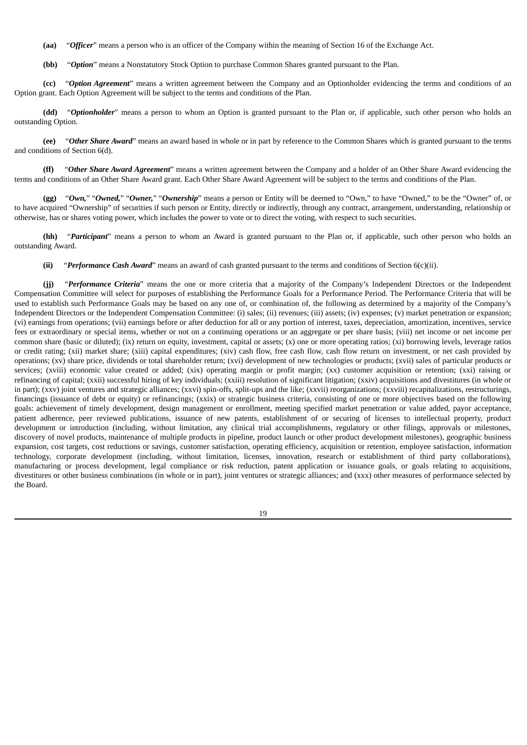- **(aa)** "*Officer*" means a person who is an officer of the Company within the meaning of Section 16 of the Exchange Act.
- **(bb)** "*Option*" means a Nonstatutory Stock Option to purchase Common Shares granted pursuant to the Plan.

**(cc)** "*Option Agreement*" means a written agreement between the Company and an Optionholder evidencing the terms and conditions of an Option grant. Each Option Agreement will be subject to the terms and conditions of the Plan.

**(dd)** "*Optionholder*" means a person to whom an Option is granted pursuant to the Plan or, if applicable, such other person who holds an outstanding Option.

**(ee)** "*Other Share Award*" means an award based in whole or in part by reference to the Common Shares which is granted pursuant to the terms and conditions of Section 6(d).

**(ff)** "*Other Share Award Agreement*" means a written agreement between the Company and a holder of an Other Share Award evidencing the terms and conditions of an Other Share Award grant. Each Other Share Award Agreement will be subject to the terms and conditions of the Plan.

**(gg)** "*Own,*" "*Owned,*" "*Owner,*" "*Ownership*" means a person or Entity will be deemed to "Own," to have "Owned," to be the "Owner" of, or to have acquired "Ownership" of securities if such person or Entity, directly or indirectly, through any contract, arrangement, understanding, relationship or otherwise, has or shares voting power, which includes the power to vote or to direct the voting, with respect to such securities.

**(hh)** "*Participant*" means a person to whom an Award is granted pursuant to the Plan or, if applicable, such other person who holds an outstanding Award.

**(ii)** "*Performance Cash Award*" means an award of cash granted pursuant to the terms and conditions of Section 6(c)(ii).

**(jj)** "*Performance Criteria*" means the one or more criteria that a majority of the Company's Independent Directors or the Independent Compensation Committee will select for purposes of establishing the Performance Goals for a Performance Period. The Performance Criteria that will be used to establish such Performance Goals may be based on any one of, or combination of, the following as determined by a majority of the Company's Independent Directors or the Independent Compensation Committee: (i) sales; (ii) revenues; (iii) assets; (iv) expenses; (v) market penetration or expansion; (vi) earnings from operations; (vii) earnings before or after deduction for all or any portion of interest, taxes, depreciation, amortization, incentives, service fees or extraordinary or special items, whether or not on a continuing operations or an aggregate or per share basis; (viii) net income or net income per common share (basic or diluted); (ix) return on equity, investment, capital or assets; (x) one or more operating ratios; (xi) borrowing levels, leverage ratios or credit rating; (xii) market share; (xiii) capital expenditures; (xiv) cash flow, free cash flow, cash flow return on investment, or net cash provided by operations; (xv) share price, dividends or total shareholder return; (xvi) development of new technologies or products; (xvii) sales of particular products or services; (xviii) economic value created or added; (xix) operating margin or profit margin; (xx) customer acquisition or retention; (xxi) raising or refinancing of capital; (xxii) successful hiring of key individuals; (xxiii) resolution of significant litigation; (xxiv) acquisitions and divestitures (in whole or in part); (xxv) joint ventures and strategic alliances; (xxvi) spin-offs, split-ups and the like; (xxvii) reorganizations; (xxviii) recapitalizations, restructurings, financings (issuance of debt or equity) or refinancings; (xxix) or strategic business criteria, consisting of one or more objectives based on the following goals: achievement of timely development, design management or enrollment, meeting specified market penetration or value added, payor acceptance, patient adherence, peer reviewed publications, issuance of new patents, establishment of or securing of licenses to intellectual property, product development or introduction (including, without limitation, any clinical trial accomplishments, regulatory or other filings, approvals or milestones, discovery of novel products, maintenance of multiple products in pipeline, product launch or other product development milestones), geographic business expansion, cost targets, cost reductions or savings, customer satisfaction, operating efficiency, acquisition or retention, employee satisfaction, information technology, corporate development (including, without limitation, licenses, innovation, research or establishment of third party collaborations), manufacturing or process development, legal compliance or risk reduction, patent application or issuance goals, or goals relating to acquisitions, divestitures or other business combinations (in whole or in part), joint ventures or strategic alliances; and (xxx) other measures of performance selected by the Board.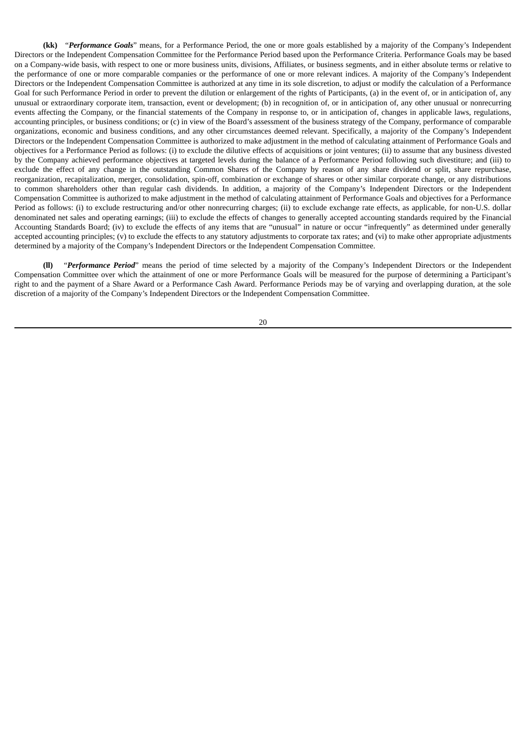**(kk)** "*Performance Goals*" means, for a Performance Period, the one or more goals established by a majority of the Company's Independent Directors or the Independent Compensation Committee for the Performance Period based upon the Performance Criteria. Performance Goals may be based on a Company-wide basis, with respect to one or more business units, divisions, Affiliates, or business segments, and in either absolute terms or relative to the performance of one or more comparable companies or the performance of one or more relevant indices. A majority of the Company's Independent Directors or the Independent Compensation Committee is authorized at any time in its sole discretion, to adjust or modify the calculation of a Performance Goal for such Performance Period in order to prevent the dilution or enlargement of the rights of Participants, (a) in the event of, or in anticipation of, any unusual or extraordinary corporate item, transaction, event or development; (b) in recognition of, or in anticipation of, any other unusual or nonrecurring events affecting the Company, or the financial statements of the Company in response to, or in anticipation of, changes in applicable laws, regulations, accounting principles, or business conditions; or (c) in view of the Board's assessment of the business strategy of the Company, performance of comparable organizations, economic and business conditions, and any other circumstances deemed relevant. Specifically, a majority of the Company's Independent Directors or the Independent Compensation Committee is authorized to make adjustment in the method of calculating attainment of Performance Goals and objectives for a Performance Period as follows: (i) to exclude the dilutive effects of acquisitions or joint ventures; (ii) to assume that any business divested by the Company achieved performance objectives at targeted levels during the balance of a Performance Period following such divestiture; and (iii) to exclude the effect of any change in the outstanding Common Shares of the Company by reason of any share dividend or split, share repurchase, reorganization, recapitalization, merger, consolidation, spin-off, combination or exchange of shares or other similar corporate change, or any distributions to common shareholders other than regular cash dividends. In addition, a majority of the Company's Independent Directors or the Independent Compensation Committee is authorized to make adjustment in the method of calculating attainment of Performance Goals and objectives for a Performance Period as follows: (i) to exclude restructuring and/or other nonrecurring charges; (ii) to exclude exchange rate effects, as applicable, for non-U.S. dollar denominated net sales and operating earnings; (iii) to exclude the effects of changes to generally accepted accounting standards required by the Financial Accounting Standards Board; (iv) to exclude the effects of any items that are "unusual" in nature or occur "infrequently" as determined under generally accepted accounting principles; (v) to exclude the effects to any statutory adjustments to corporate tax rates; and (vi) to make other appropriate adjustments determined by a majority of the Company's Independent Directors or the Independent Compensation Committee.

**(ll)** "*Performance Period*" means the period of time selected by a majority of the Company's Independent Directors or the Independent Compensation Committee over which the attainment of one or more Performance Goals will be measured for the purpose of determining a Participant's right to and the payment of a Share Award or a Performance Cash Award. Performance Periods may be of varying and overlapping duration, at the sole discretion of a majority of the Company's Independent Directors or the Independent Compensation Committee.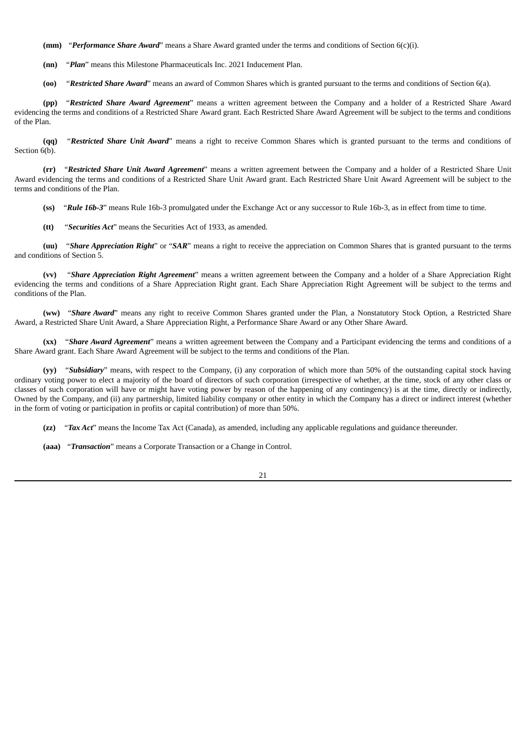**(mm)** "*Performance Share Award*" means a Share Award granted under the terms and conditions of Section 6(c)(i).

**(nn)** "*Plan*" means this Milestone Pharmaceuticals Inc. 2021 Inducement Plan.

**(oo)** "*Restricted Share Award*" means an award of Common Shares which is granted pursuant to the terms and conditions of Section 6(a).

**(pp)** "*Restricted Share Award Agreement*" means a written agreement between the Company and a holder of a Restricted Share Award evidencing the terms and conditions of a Restricted Share Award grant. Each Restricted Share Award Agreement will be subject to the terms and conditions of the Plan.

**(qq)** "*Restricted Share Unit Award*" means a right to receive Common Shares which is granted pursuant to the terms and conditions of Section 6(b).

**(rr)** "*Restricted Share Unit Award Agreement*" means a written agreement between the Company and a holder of a Restricted Share Unit Award evidencing the terms and conditions of a Restricted Share Unit Award grant. Each Restricted Share Unit Award Agreement will be subject to the terms and conditions of the Plan.

**(ss)** "*Rule 16b-3*" means Rule 16b-3 promulgated under the Exchange Act or any successor to Rule 16b-3, as in effect from time to time.

**(tt)** "*Securities Act*" means the Securities Act of 1933, as amended.

**(uu)** "*Share Appreciation Right*" or "*SAR*" means a right to receive the appreciation on Common Shares that is granted pursuant to the terms and conditions of Section 5.

**(vv)** "*Share Appreciation Right Agreement*" means a written agreement between the Company and a holder of a Share Appreciation Right evidencing the terms and conditions of a Share Appreciation Right grant. Each Share Appreciation Right Agreement will be subject to the terms and conditions of the Plan.

**(ww)** "*Share Award*" means any right to receive Common Shares granted under the Plan, a Nonstatutory Stock Option, a Restricted Share Award, a Restricted Share Unit Award, a Share Appreciation Right, a Performance Share Award or any Other Share Award.

**(xx)** "*Share Award Agreement*" means a written agreement between the Company and a Participant evidencing the terms and conditions of a Share Award grant. Each Share Award Agreement will be subject to the terms and conditions of the Plan.

**(yy)** "*Subsidiary*" means, with respect to the Company, (i) any corporation of which more than 50% of the outstanding capital stock having ordinary voting power to elect a majority of the board of directors of such corporation (irrespective of whether, at the time, stock of any other class or classes of such corporation will have or might have voting power by reason of the happening of any contingency) is at the time, directly or indirectly, Owned by the Company, and (ii) any partnership, limited liability company or other entity in which the Company has a direct or indirect interest (whether in the form of voting or participation in profits or capital contribution) of more than 50%.

**(zz)** "*Tax Act*" means the Income Tax Act (Canada), as amended, including any applicable regulations and guidance thereunder.

**(aaa)** "*Transaction*" means a Corporate Transaction or a Change in Control.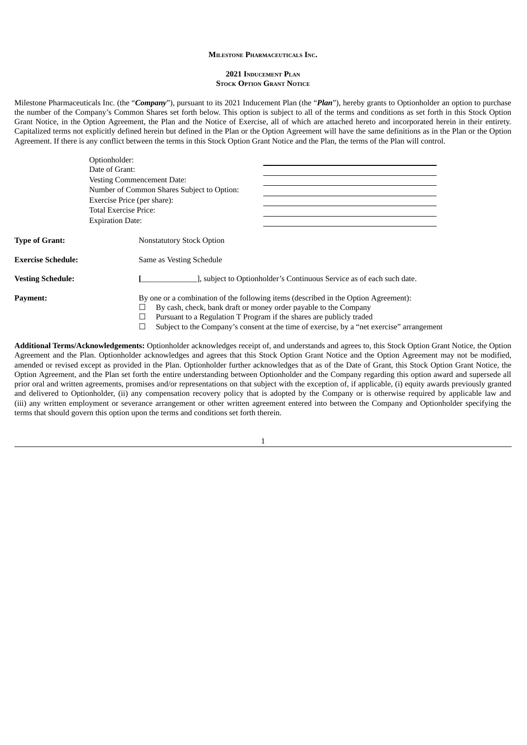#### **MILESTONE PHARMACEUTICALS INC.**

#### **2021 INDUCEMENT PLAN STOCK OPTION GRANT NOTICE**

Milestone Pharmaceuticals Inc. (the "*Company*"), pursuant to its 2021 Inducement Plan (the "*Plan*"), hereby grants to Optionholder an option to purchase the number of the Company's Common Shares set forth below. This option is subject to all of the terms and conditions as set forth in this Stock Option Grant Notice, in the Option Agreement, the Plan and the Notice of Exercise, all of which are attached hereto and incorporated herein in their entirety. Capitalized terms not explicitly defined herein but defined in the Plan or the Option Agreement will have the same definitions as in the Plan or the Option Agreement. If there is any conflict between the terms in this Stock Option Grant Notice and the Plan, the terms of the Plan will control.

|                          | Optionholder:                                                                                                                                                                                                                                                                                                                |
|--------------------------|------------------------------------------------------------------------------------------------------------------------------------------------------------------------------------------------------------------------------------------------------------------------------------------------------------------------------|
|                          | Date of Grant:                                                                                                                                                                                                                                                                                                               |
|                          | <b>Vesting Commencement Date:</b>                                                                                                                                                                                                                                                                                            |
|                          | Number of Common Shares Subject to Option:                                                                                                                                                                                                                                                                                   |
|                          | Exercise Price (per share):                                                                                                                                                                                                                                                                                                  |
|                          | <b>Total Exercise Price:</b>                                                                                                                                                                                                                                                                                                 |
|                          | <b>Expiration Date:</b>                                                                                                                                                                                                                                                                                                      |
| <b>Type of Grant:</b>    | <b>Nonstatutory Stock Option</b>                                                                                                                                                                                                                                                                                             |
| Exercise Schedule:       | Same as Vesting Schedule                                                                                                                                                                                                                                                                                                     |
| <b>Vesting Schedule:</b> | ], subject to Optionholder's Continuous Service as of each such date.                                                                                                                                                                                                                                                        |
| Payment:                 | By one or a combination of the following items (described in the Option Agreement):<br>By cash, check, bank draft or money order payable to the Company<br>Pursuant to a Regulation T Program if the shares are publicly traded<br>Subject to the Company's consent at the time of exercise, by a "net exercise" arrangement |

**Additional Terms/Acknowledgements:** Optionholder acknowledges receipt of, and understands and agrees to, this Stock Option Grant Notice, the Option Agreement and the Plan. Optionholder acknowledges and agrees that this Stock Option Grant Notice and the Option Agreement may not be modified, amended or revised except as provided in the Plan. Optionholder further acknowledges that as of the Date of Grant, this Stock Option Grant Notice, the Option Agreement, and the Plan set forth the entire understanding between Optionholder and the Company regarding this option award and supersede all prior oral and written agreements, promises and/or representations on that subject with the exception of, if applicable, (i) equity awards previously granted and delivered to Optionholder, (ii) any compensation recovery policy that is adopted by the Company or is otherwise required by applicable law and (iii) any written employment or severance arrangement or other written agreement entered into between the Company and Optionholder specifying the terms that should govern this option upon the terms and conditions set forth therein.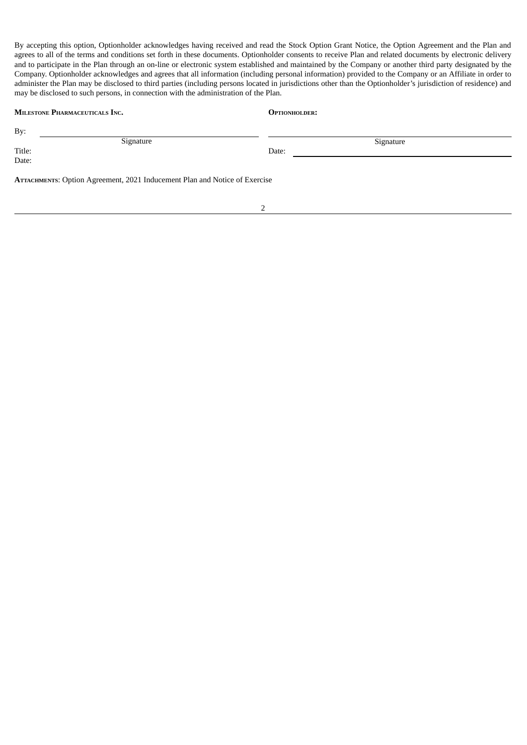By accepting this option, Optionholder acknowledges having received and read the Stock Option Grant Notice, the Option Agreement and the Plan and agrees to all of the terms and conditions set forth in these documents. Optionholder consents to receive Plan and related documents by electronic delivery and to participate in the Plan through an on-line or electronic system established and maintained by the Company or another third party designated by the Company. Optionholder acknowledges and agrees that all information (including personal information) provided to the Company or an Affiliate in order to administer the Plan may be disclosed to third parties (including persons located in jurisdictions other than the Optionholder's jurisdiction of residence) and may be disclosed to such persons, in connection with the administration of the Plan.

| <b>MILESTONE PHARMACEUTICALS INC.</b>                                      | <b>OPTIONHOLDER:</b> |  |  |  |  |
|----------------------------------------------------------------------------|----------------------|--|--|--|--|
| By:                                                                        |                      |  |  |  |  |
| Signature                                                                  | Signature            |  |  |  |  |
| Title:                                                                     | Date:                |  |  |  |  |
| Date:                                                                      |                      |  |  |  |  |
| ATTACHMENTS: Option Agreement, 2021 Inducement Plan and Notice of Exercise |                      |  |  |  |  |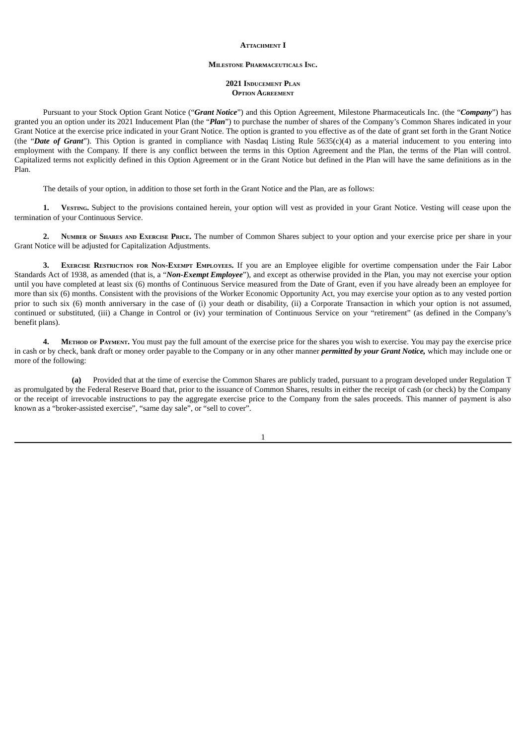#### **ATTACHMENT I**

#### **MILESTONE PHARMACEUTICALS INC.**

#### **2021 INDUCEMENT PLAN OPTION AGREEMENT**

Pursuant to your Stock Option Grant Notice ("*Grant Notice*") and this Option Agreement, Milestone Pharmaceuticals Inc. (the "*Company*") has granted you an option under its 2021 Inducement Plan (the "*Plan*") to purchase the number of shares of the Company's Common Shares indicated in your Grant Notice at the exercise price indicated in your Grant Notice. The option is granted to you effective as of the date of grant set forth in the Grant Notice (the "*Date of Grant*"). This Option is granted in compliance with Nasdaq Listing Rule 5635(c)(4) as a material inducement to you entering into employment with the Company. If there is any conflict between the terms in this Option Agreement and the Plan, the terms of the Plan will control. Capitalized terms not explicitly defined in this Option Agreement or in the Grant Notice but defined in the Plan will have the same definitions as in the Plan.

The details of your option, in addition to those set forth in the Grant Notice and the Plan, are as follows:

**1. VESTING.** Subject to the provisions contained herein, your option will vest as provided in your Grant Notice. Vesting will cease upon the termination of your Continuous Service.

**2. NUMBER OF SHARES AND EXERCISE PRICE.** The number of Common Shares subject to your option and your exercise price per share in your Grant Notice will be adjusted for Capitalization Adjustments.

**3. EXERCISE RESTRICTION FOR NON-EXEMPT EMPLOYEES.** If you are an Employee eligible for overtime compensation under the Fair Labor Standards Act of 1938, as amended (that is, a "*Non-Exempt Employee*"), and except as otherwise provided in the Plan, you may not exercise your option until you have completed at least six (6) months of Continuous Service measured from the Date of Grant, even if you have already been an employee for more than six (6) months. Consistent with the provisions of the Worker Economic Opportunity Act, you may exercise your option as to any vested portion prior to such six (6) month anniversary in the case of (i) your death or disability, (ii) a Corporate Transaction in which your option is not assumed, continued or substituted, (iii) a Change in Control or (iv) your termination of Continuous Service on your "retirement" (as defined in the Company's benefit plans).

**4. METHOD OF PAYMENT.** You must pay the full amount of the exercise price for the shares you wish to exercise. You may pay the exercise price in cash or by check, bank draft or money order payable to the Company or in any other manner *permitted by your Grant Notice,* which may include one or more of the following:

**(a)** Provided that at the time of exercise the Common Shares are publicly traded, pursuant to a program developed under Regulation T as promulgated by the Federal Reserve Board that, prior to the issuance of Common Shares, results in either the receipt of cash (or check) by the Company or the receipt of irrevocable instructions to pay the aggregate exercise price to the Company from the sales proceeds. This manner of payment is also known as a "broker-assisted exercise", "same day sale", or "sell to cover".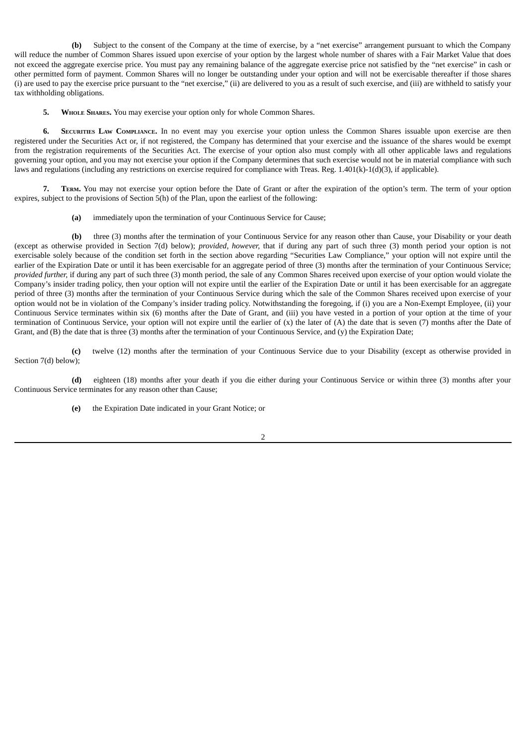**(b)** Subject to the consent of the Company at the time of exercise, by a "net exercise" arrangement pursuant to which the Company will reduce the number of Common Shares issued upon exercise of your option by the largest whole number of shares with a Fair Market Value that does not exceed the aggregate exercise price. You must pay any remaining balance of the aggregate exercise price not satisfied by the "net exercise" in cash or other permitted form of payment. Common Shares will no longer be outstanding under your option and will not be exercisable thereafter if those shares (i) are used to pay the exercise price pursuant to the "net exercise," (ii) are delivered to you as a result of such exercise, and (iii) are withheld to satisfy your tax withholding obligations.

**5. WHOLE SHARES.** You may exercise your option only for whole Common Shares.

**6. SECURITIES LAW COMPLIANCE.** In no event may you exercise your option unless the Common Shares issuable upon exercise are then registered under the Securities Act or, if not registered, the Company has determined that your exercise and the issuance of the shares would be exempt from the registration requirements of the Securities Act. The exercise of your option also must comply with all other applicable laws and regulations governing your option, and you may not exercise your option if the Company determines that such exercise would not be in material compliance with such laws and regulations (including any restrictions on exercise required for compliance with Treas. Reg. 1.401(k)-1(d)(3), if applicable).

**7. TERM.** You may not exercise your option before the Date of Grant or after the expiration of the option's term. The term of your option expires, subject to the provisions of Section 5(h) of the Plan, upon the earliest of the following:

**(a)** immediately upon the termination of your Continuous Service for Cause;

**(b)** three (3) months after the termination of your Continuous Service for any reason other than Cause, your Disability or your death (except as otherwise provided in Section 7(d) below); *provided, however,* that if during any part of such three (3) month period your option is not exercisable solely because of the condition set forth in the section above regarding "Securities Law Compliance," your option will not expire until the earlier of the Expiration Date or until it has been exercisable for an aggregate period of three (3) months after the termination of your Continuous Service; *provided further,* if during any part of such three (3) month period, the sale of any Common Shares received upon exercise of your option would violate the Company's insider trading policy, then your option will not expire until the earlier of the Expiration Date or until it has been exercisable for an aggregate period of three (3) months after the termination of your Continuous Service during which the sale of the Common Shares received upon exercise of your option would not be in violation of the Company's insider trading policy. Notwithstanding the foregoing, if (i) you are a Non-Exempt Employee, (ii) your Continuous Service terminates within six (6) months after the Date of Grant, and (iii) you have vested in a portion of your option at the time of your termination of Continuous Service, your option will not expire until the earlier of (x) the later of (A) the date that is seven (7) months after the Date of Grant, and (B) the date that is three (3) months after the termination of your Continuous Service, and (y) the Expiration Date;

**(c)** twelve (12) months after the termination of your Continuous Service due to your Disability (except as otherwise provided in Section 7(d) below);

**(d)** eighteen (18) months after your death if you die either during your Continuous Service or within three (3) months after your Continuous Service terminates for any reason other than Cause;

**(e)** the Expiration Date indicated in your Grant Notice; or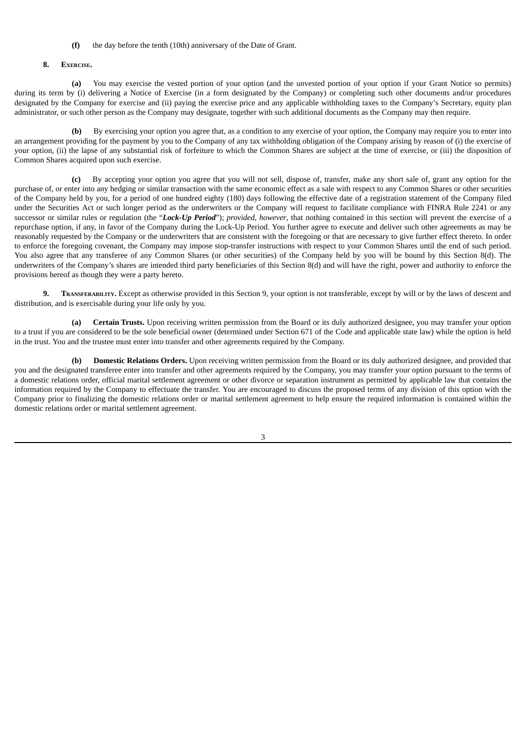#### **(f)** the day before the tenth (10th) anniversary of the Date of Grant.

#### **8. EXERCISE.**

**(a)** You may exercise the vested portion of your option (and the unvested portion of your option if your Grant Notice so permits) during its term by (i) delivering a Notice of Exercise (in a form designated by the Company) or completing such other documents and/or procedures designated by the Company for exercise and (ii) paying the exercise price and any applicable withholding taxes to the Company's Secretary, equity plan administrator, or such other person as the Company may designate, together with such additional documents as the Company may then require.

**(b)** By exercising your option you agree that, as a condition to any exercise of your option, the Company may require you to enter into an arrangement providing for the payment by you to the Company of any tax withholding obligation of the Company arising by reason of (i) the exercise of your option, (ii) the lapse of any substantial risk of forfeiture to which the Common Shares are subject at the time of exercise, or (iii) the disposition of Common Shares acquired upon such exercise.

**(c)** By accepting your option you agree that you will not sell, dispose of, transfer, make any short sale of, grant any option for the purchase of, or enter into any hedging or similar transaction with the same economic effect as a sale with respect to any Common Shares or other securities of the Company held by you, for a period of one hundred eighty (180) days following the effective date of a registration statement of the Company filed under the Securities Act or such longer period as the underwriters or the Company will request to facilitate compliance with FINRA Rule 2241 or any successor or similar rules or regulation (the "*Lock-Up Period*"); *provided, however*, that nothing contained in this section will prevent the exercise of a repurchase option, if any, in favor of the Company during the Lock-Up Period. You further agree to execute and deliver such other agreements as may be reasonably requested by the Company or the underwriters that are consistent with the foregoing or that are necessary to give further effect thereto. In order to enforce the foregoing covenant, the Company may impose stop-transfer instructions with respect to your Common Shares until the end of such period. You also agree that any transferee of any Common Shares (or other securities) of the Company held by you will be bound by this Section 8(d). The underwriters of the Company's shares are intended third party beneficiaries of this Section 8(d) and will have the right, power and authority to enforce the provisions hereof as though they were a party hereto.

**9. TRANSFERABILITY.** Except as otherwise provided in this Section 9, your option is not transferable, except by will or by the laws of descent and distribution, and is exercisable during your life only by you.

**(a) Certain Trusts.** Upon receiving written permission from the Board or its duly authorized designee, you may transfer your option to a trust if you are considered to be the sole beneficial owner (determined under Section 671 of the Code and applicable state law) while the option is held in the trust. You and the trustee must enter into transfer and other agreements required by the Company.

**(b) Domestic Relations Orders.** Upon receiving written permission from the Board or its duly authorized designee, and provided that you and the designated transferee enter into transfer and other agreements required by the Company, you may transfer your option pursuant to the terms of a domestic relations order, official marital settlement agreement or other divorce or separation instrument as permitted by applicable law that contains the information required by the Company to effectuate the transfer. You are encouraged to discuss the proposed terms of any division of this option with the Company prior to finalizing the domestic relations order or marital settlement agreement to help ensure the required information is contained within the domestic relations order or marital settlement agreement.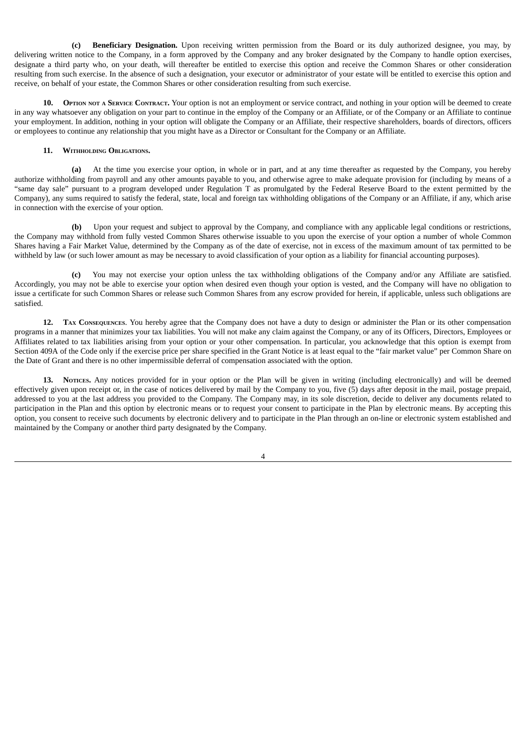**(c) Beneficiary Designation.** Upon receiving written permission from the Board or its duly authorized designee, you may, by delivering written notice to the Company, in a form approved by the Company and any broker designated by the Company to handle option exercises, designate a third party who, on your death, will thereafter be entitled to exercise this option and receive the Common Shares or other consideration resulting from such exercise. In the absence of such a designation, your executor or administrator of your estate will be entitled to exercise this option and receive, on behalf of your estate, the Common Shares or other consideration resulting from such exercise.

**10. OPTION NOT <sup>A</sup> SERVICE CONTRACT.** Your option is not an employment or service contract, and nothing in your option will be deemed to create in any way whatsoever any obligation on your part to continue in the employ of the Company or an Affiliate, or of the Company or an Affiliate to continue your employment. In addition, nothing in your option will obligate the Company or an Affiliate, their respective shareholders, boards of directors, officers or employees to continue any relationship that you might have as a Director or Consultant for the Company or an Affiliate.

#### **11. WITHHOLDING OBLIGATIONS.**

**(a)** At the time you exercise your option, in whole or in part, and at any time thereafter as requested by the Company, you hereby authorize withholding from payroll and any other amounts payable to you, and otherwise agree to make adequate provision for (including by means of a "same day sale" pursuant to a program developed under Regulation T as promulgated by the Federal Reserve Board to the extent permitted by the Company), any sums required to satisfy the federal, state, local and foreign tax withholding obligations of the Company or an Affiliate, if any, which arise in connection with the exercise of your option.

**(b)** Upon your request and subject to approval by the Company, and compliance with any applicable legal conditions or restrictions, the Company may withhold from fully vested Common Shares otherwise issuable to you upon the exercise of your option a number of whole Common Shares having a Fair Market Value, determined by the Company as of the date of exercise, not in excess of the maximum amount of tax permitted to be withheld by law (or such lower amount as may be necessary to avoid classification of your option as a liability for financial accounting purposes).

**(c)** You may not exercise your option unless the tax withholding obligations of the Company and/or any Affiliate are satisfied. Accordingly, you may not be able to exercise your option when desired even though your option is vested, and the Company will have no obligation to issue a certificate for such Common Shares or release such Common Shares from any escrow provided for herein, if applicable, unless such obligations are satisfied.

**12. TAX CONSEQUENCES**. You hereby agree that the Company does not have a duty to design or administer the Plan or its other compensation programs in a manner that minimizes your tax liabilities. You will not make any claim against the Company, or any of its Officers, Directors, Employees or Affiliates related to tax liabilities arising from your option or your other compensation. In particular, you acknowledge that this option is exempt from Section 409A of the Code only if the exercise price per share specified in the Grant Notice is at least equal to the "fair market value" per Common Share on the Date of Grant and there is no other impermissible deferral of compensation associated with the option.

**13. NOTICES.** Any notices provided for in your option or the Plan will be given in writing (including electronically) and will be deemed effectively given upon receipt or, in the case of notices delivered by mail by the Company to you, five (5) days after deposit in the mail, postage prepaid, addressed to you at the last address you provided to the Company. The Company may, in its sole discretion, decide to deliver any documents related to participation in the Plan and this option by electronic means or to request your consent to participate in the Plan by electronic means. By accepting this option, you consent to receive such documents by electronic delivery and to participate in the Plan through an on-line or electronic system established and maintained by the Company or another third party designated by the Company.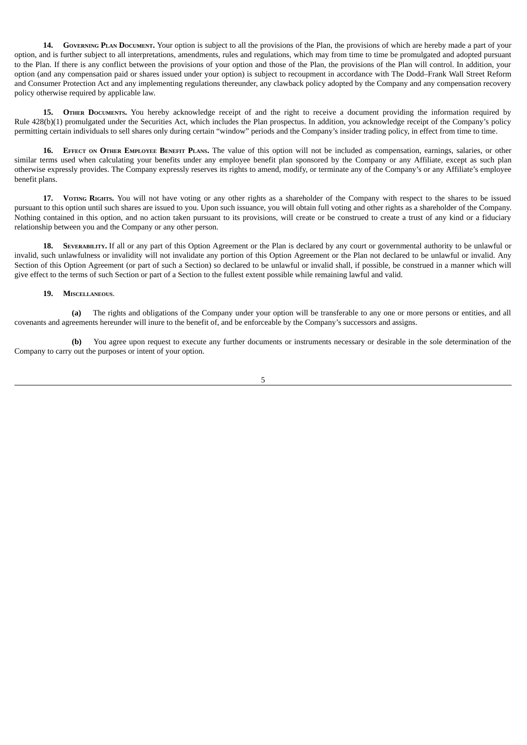**14. GOVERNING PLAN DOCUMENT.** Your option is subject to all the provisions of the Plan, the provisions of which are hereby made a part of your option, and is further subject to all interpretations, amendments, rules and regulations, which may from time to time be promulgated and adopted pursuant to the Plan. If there is any conflict between the provisions of your option and those of the Plan, the provisions of the Plan will control. In addition, your option (and any compensation paid or shares issued under your option) is subject to recoupment in accordance with The Dodd–Frank Wall Street Reform and Consumer Protection Act and any implementing regulations thereunder, any clawback policy adopted by the Company and any compensation recovery policy otherwise required by applicable law.

**15. OTHER DOCUMENTS.** You hereby acknowledge receipt of and the right to receive a document providing the information required by Rule 428(b)(1) promulgated under the Securities Act, which includes the Plan prospectus. In addition, you acknowledge receipt of the Company's policy permitting certain individuals to sell shares only during certain "window" periods and the Company's insider trading policy, in effect from time to time.

16. EFFECT ON OTHER EMPLOYEE BENEFIT PLANS. The value of this option will not be included as compensation, earnings, salaries, or other similar terms used when calculating your benefits under any employee benefit plan sponsored by the Company or any Affiliate, except as such plan otherwise expressly provides. The Company expressly reserves its rights to amend, modify, or terminate any of the Company's or any Affiliate's employee benefit plans.

**17. VOTING RIGHTS.** You will not have voting or any other rights as a shareholder of the Company with respect to the shares to be issued pursuant to this option until such shares are issued to you. Upon such issuance, you will obtain full voting and other rights as a shareholder of the Company. Nothing contained in this option, and no action taken pursuant to its provisions, will create or be construed to create a trust of any kind or a fiduciary relationship between you and the Company or any other person.

**18. SEVERABILITY.** If all or any part of this Option Agreement or the Plan is declared by any court or governmental authority to be unlawful or invalid, such unlawfulness or invalidity will not invalidate any portion of this Option Agreement or the Plan not declared to be unlawful or invalid. Any Section of this Option Agreement (or part of such a Section) so declared to be unlawful or invalid shall, if possible, be construed in a manner which will give effect to the terms of such Section or part of a Section to the fullest extent possible while remaining lawful and valid.

#### **19. MISCELLANEOUS**.

**(a)** The rights and obligations of the Company under your option will be transferable to any one or more persons or entities, and all covenants and agreements hereunder will inure to the benefit of, and be enforceable by the Company's successors and assigns.

**(b)** You agree upon request to execute any further documents or instruments necessary or desirable in the sole determination of the Company to carry out the purposes or intent of your option.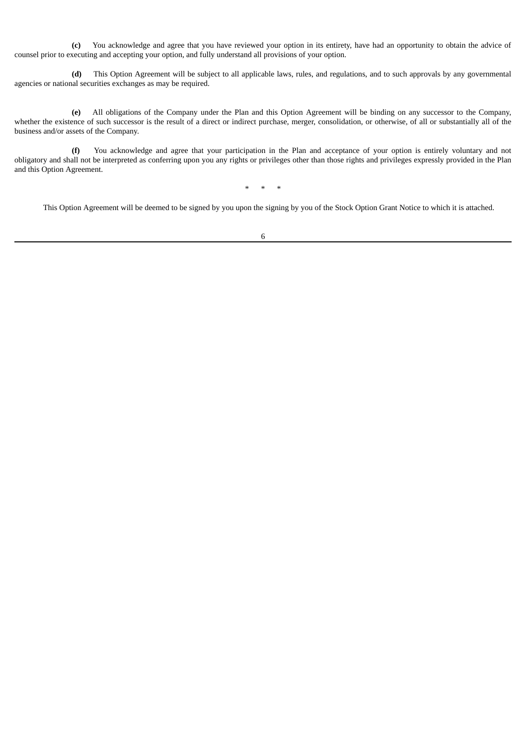**(c)** You acknowledge and agree that you have reviewed your option in its entirety, have had an opportunity to obtain the advice of counsel prior to executing and accepting your option, and fully understand all provisions of your option.

**(d)** This Option Agreement will be subject to all applicable laws, rules, and regulations, and to such approvals by any governmental agencies or national securities exchanges as may be required.

**(e)** All obligations of the Company under the Plan and this Option Agreement will be binding on any successor to the Company, whether the existence of such successor is the result of a direct or indirect purchase, merger, consolidation, or otherwise, of all or substantially all of the business and/or assets of the Company.

**(f)** You acknowledge and agree that your participation in the Plan and acceptance of your option is entirely voluntary and not obligatory and shall not be interpreted as conferring upon you any rights or privileges other than those rights and privileges expressly provided in the Plan and this Option Agreement.

\* \* \*

This Option Agreement will be deemed to be signed by you upon the signing by you of the Stock Option Grant Notice to which it is attached.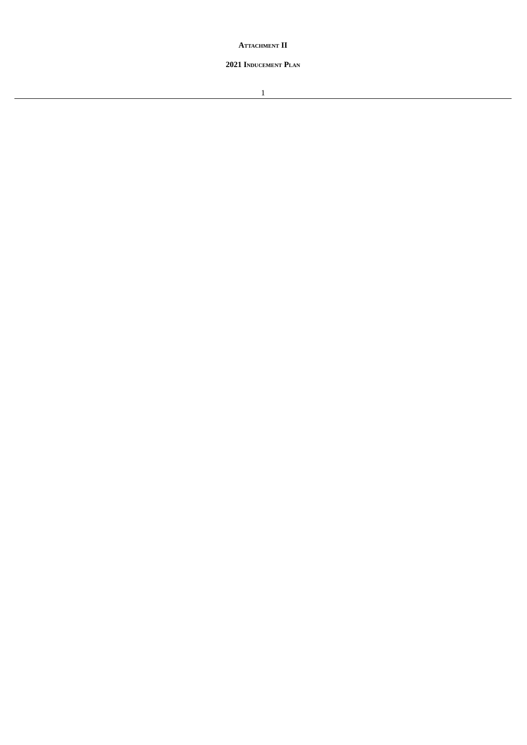**ATTACHMENT II**

# **INDUCEMENT PLAN**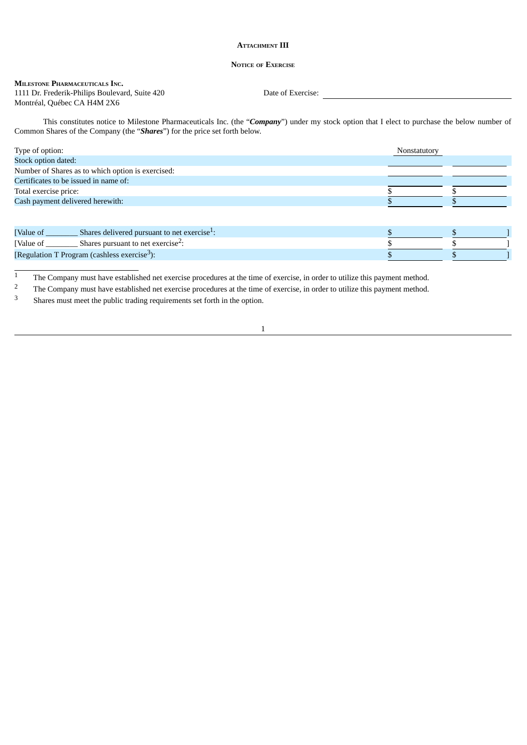#### **ATTACHMENT III**

#### **NOTICE OF EXERCISE**

#### **MILESTONE PHARMACEUTICALS INC.** 1111 Dr. Frederik-Philips Boulevard, Suite 420 Date of Exercise: Montréal, Québec CA H4M 2X6

This constitutes notice to Milestone Pharmaceuticals Inc. (the "*Company*") under my stock option that I elect to purchase the below number of Common Shares of the Company (the "*Shares*") for the price set forth below.

| Type of option:                                          |                                                          | Nonstatutory |  |  |
|----------------------------------------------------------|----------------------------------------------------------|--------------|--|--|
| Stock option dated:                                      |                                                          |              |  |  |
|                                                          | Number of Shares as to which option is exercised:        |              |  |  |
|                                                          | Certificates to be issued in name of:                    |              |  |  |
| Total exercise price:                                    |                                                          |              |  |  |
| Cash payment delivered herewith:                         |                                                          |              |  |  |
|                                                          |                                                          |              |  |  |
|                                                          |                                                          |              |  |  |
| [Value of __                                             | Shares delivered pursuant to net exercise <sup>1</sup> : |              |  |  |
| [Value of                                                | Shares pursuant to net exercise <sup>2</sup> :           |              |  |  |
| [Regulation T Program (cashless exercise <sup>3</sup> ): |                                                          |              |  |  |

The Company must have established net exercise procedures at the time of exercise, in order to utilize this payment method.<br><sup>2</sup> The Company must have established net exercise procedures at the time of exercise, in order t

<sup>2</sup> The Company must have established net exercise procedures at the time of exercise, in order to utilize this payment method.<br><sup>3</sup> Shares must meet the public trading requirements set forth in the option.

<sup>3</sup> Shares must meet the public trading requirements set forth in the option.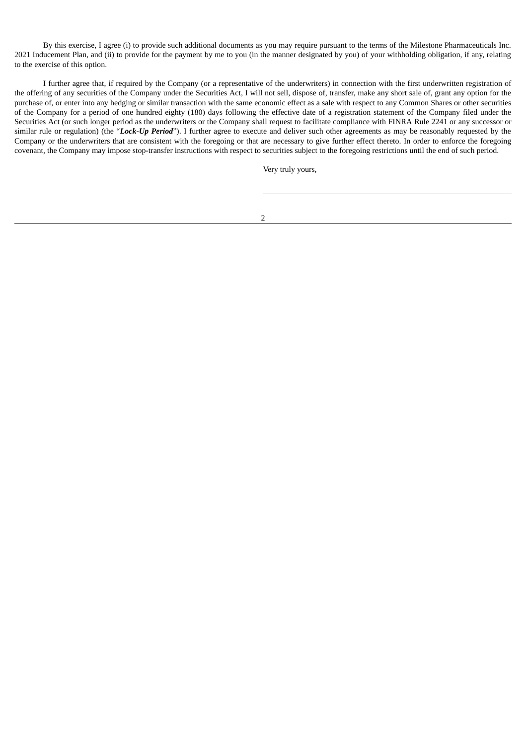By this exercise, I agree (i) to provide such additional documents as you may require pursuant to the terms of the Milestone Pharmaceuticals Inc. 2021 Inducement Plan, and (ii) to provide for the payment by me to you (in the manner designated by you) of your withholding obligation, if any, relating to the exercise of this option.

I further agree that, if required by the Company (or a representative of the underwriters) in connection with the first underwritten registration of the offering of any securities of the Company under the Securities Act, I will not sell, dispose of, transfer, make any short sale of, grant any option for the purchase of, or enter into any hedging or similar transaction with the same economic effect as a sale with respect to any Common Shares or other securities of the Company for a period of one hundred eighty (180) days following the effective date of a registration statement of the Company filed under the Securities Act (or such longer period as the underwriters or the Company shall request to facilitate compliance with FINRA Rule 2241 or any successor or similar rule or regulation) (the "*Lock-Up Period*"). I further agree to execute and deliver such other agreements as may be reasonably requested by the Company or the underwriters that are consistent with the foregoing or that are necessary to give further effect thereto. In order to enforce the foregoing covenant, the Company may impose stop-transfer instructions with respect to securities subject to the foregoing restrictions until the end of such period.

Very truly yours,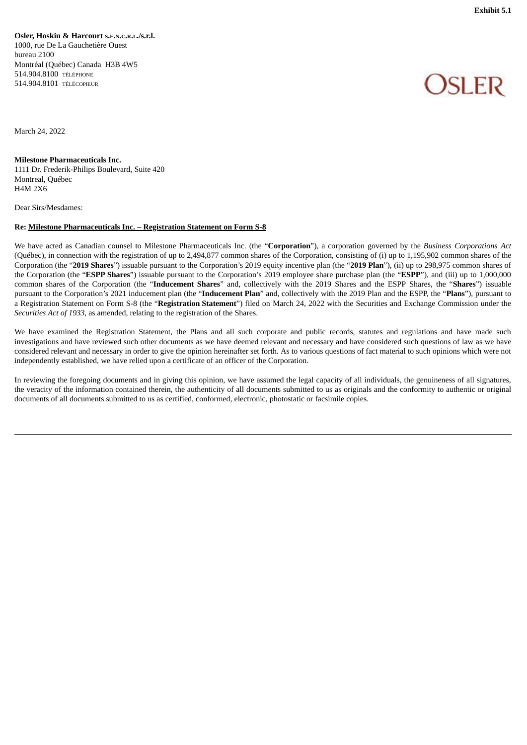<span id="page-37-0"></span>**Osler, Hoskin & Harcourt <sup>S</sup>.E.N.C.R.L./s.r.l.** 1000, rue De La Gauchetière Ouest bureau 2100 Montréal (Québec) Canada H3B 4W5 514.904.8100 TÉLÉPHONE 514.904.8101 TÉLÉCOPIEUR

# )SI FR

March 24, 2022

#### **Milestone Pharmaceuticals Inc.**

1111 Dr. Frederik-Philips Boulevard, Suite 420 Montreal, Québec H4M 2X6

Dear Sirs/Mesdames:

#### **Re: Milestone Pharmaceuticals Inc. – Registration Statement on Form S-8**

We have acted as Canadian counsel to Milestone Pharmaceuticals Inc. (the "**Corporation**"), a corporation governed by the *Business Corporations Act* (Québec), in connection with the registration of up to 2,494,877 common shares of the Corporation, consisting of (i) up to 1,195,902 common shares of the Corporation (the "**2019 Shares**") issuable pursuant to the Corporation's 2019 equity incentive plan (the "**2019 Plan**"), (ii) up to 298,975 common shares of the Corporation (the "**ESPP Shares**") issuable pursuant to the Corporation's 2019 employee share purchase plan (the "**ESPP**"), and (iii) up to 1,000,000 common shares of the Corporation (the "**Inducement Shares**" and, collectively with the 2019 Shares and the ESPP Shares, the "**Shares**") issuable pursuant to the Corporation's 2021 inducement plan (the "**Inducement Plan**" and, collectively with the 2019 Plan and the ESPP, the "**Plans**"), pursuant to a Registration Statement on Form S-8 (the "**Registration Statement**") filed on March 24, 2022 with the Securities and Exchange Commission under the *Securities Act of 1933*, as amended, relating to the registration of the Shares.

We have examined the Registration Statement, the Plans and all such corporate and public records, statutes and regulations and have made such investigations and have reviewed such other documents as we have deemed relevant and necessary and have considered such questions of law as we have considered relevant and necessary in order to give the opinion hereinafter set forth. As to various questions of fact material to such opinions which were not independently established, we have relied upon a certificate of an officer of the Corporation.

In reviewing the foregoing documents and in giving this opinion, we have assumed the legal capacity of all individuals, the genuineness of all signatures, the veracity of the information contained therein, the authenticity of all documents submitted to us as originals and the conformity to authentic or original documents of all documents submitted to us as certified, conformed, electronic, photostatic or facsimile copies.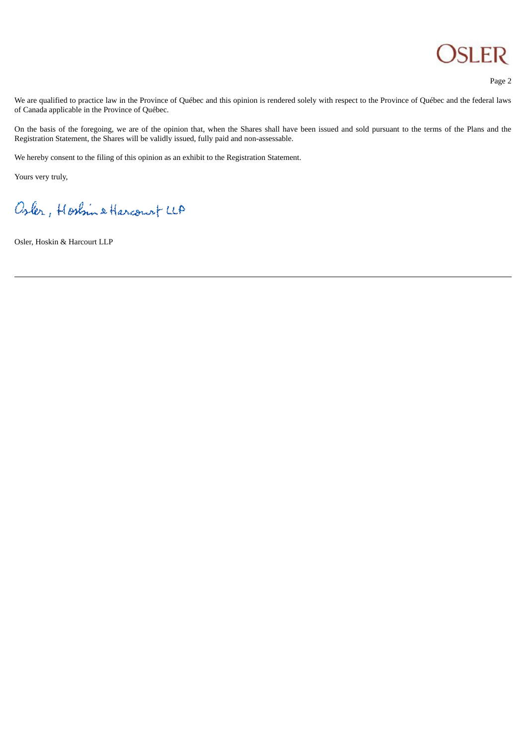

Page 2

We are qualified to practice law in the Province of Québec and this opinion is rendered solely with respect to the Province of Québec and the federal laws of Canada applicable in the Province of Québec.

On the basis of the foregoing, we are of the opinion that, when the Shares shall have been issued and sold pursuant to the terms of the Plans and the Registration Statement, the Shares will be validly issued, fully paid and non-assessable.

We hereby consent to the filing of this opinion as an exhibit to the Registration Statement.

Yours very truly,

Osler, Hoshing Harcourt LLA

Osler, Hoskin & Harcourt LLP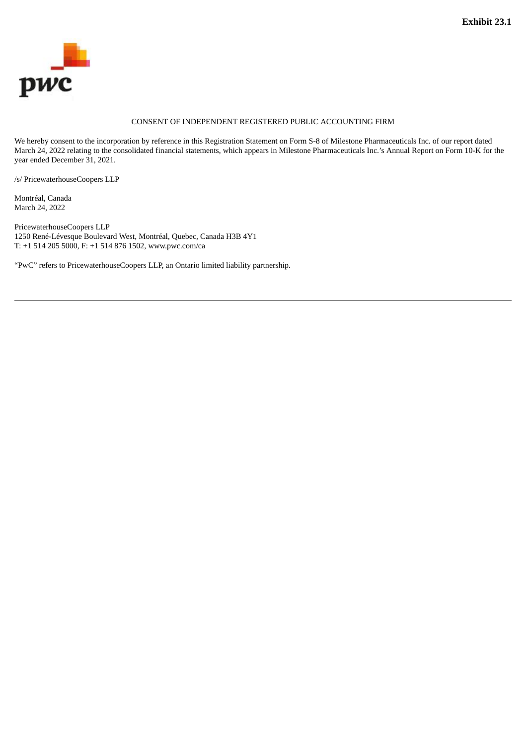<span id="page-39-0"></span>

## CONSENT OF INDEPENDENT REGISTERED PUBLIC ACCOUNTING FIRM

We hereby consent to the incorporation by reference in this Registration Statement on Form S-8 of Milestone Pharmaceuticals Inc. of our report dated March 24, 2022 relating to the consolidated financial statements, which appears in Milestone Pharmaceuticals Inc.'s Annual Report on Form 10-K for the year ended December 31, 2021.

/s/ PricewaterhouseCoopers LLP

Montréal, Canada March 24, 2022

PricewaterhouseCoopers LLP 1250 René-Lévesque Boulevard West, Montréal, Quebec, Canada H3B 4Y1 T: +1 514 205 5000, F: +1 514 876 1502, www.pwc.com/ca

"PwC" refers to PricewaterhouseCoopers LLP, an Ontario limited liability partnership.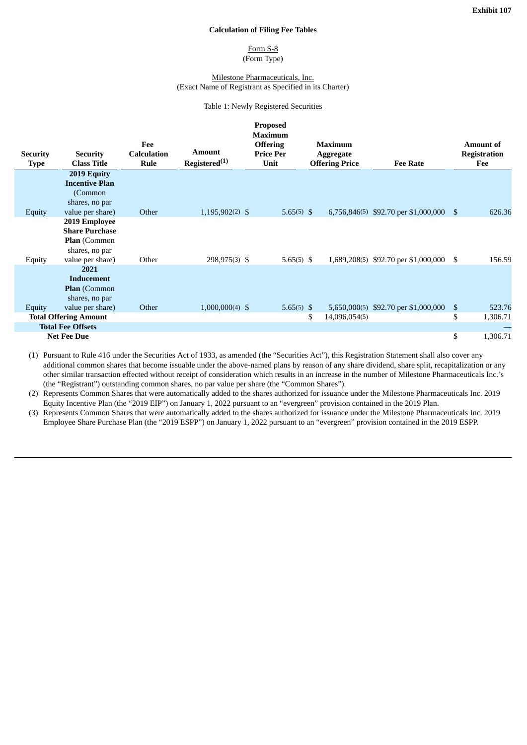#### **Calculation of Filing Fee Tables**

#### Form S-8 (Form Type)

#### Milestone Pharmaceuticals, Inc. (Exact Name of Registrant as Specified in its Charter)

#### Table 1: Newly Registered Securities

<span id="page-40-0"></span>

|                                |                                                                                 |                                   |                                     | <b>Proposed</b><br><b>Maximum</b>           |                                                      |                                         |                |                                                |
|--------------------------------|---------------------------------------------------------------------------------|-----------------------------------|-------------------------------------|---------------------------------------------|------------------------------------------------------|-----------------------------------------|----------------|------------------------------------------------|
| <b>Security</b><br><b>Type</b> | <b>Security</b><br><b>Class Title</b>                                           | Fee<br><b>Calculation</b><br>Rule | Amount<br>Registered <sup>(1)</sup> | <b>Offering</b><br><b>Price Per</b><br>Unit | <b>Maximum</b><br>Aggregate<br><b>Offering Price</b> | <b>Fee Rate</b>                         |                | <b>Amount of</b><br><b>Registration</b><br>Fee |
|                                | 2019 Equity<br><b>Incentive Plan</b><br>(Common<br>shares, no par               |                                   |                                     |                                             |                                                      |                                         |                |                                                |
| Equity                         | value per share)                                                                | Other                             | $1,195,902(2)$ \$                   | 5.65 $(5)$ \$                               |                                                      | 6,756,846(5) \$92.70 per \$1,000,000 \$ |                | 626.36                                         |
|                                | 2019 Employee<br><b>Share Purchase</b><br><b>Plan</b> (Common<br>shares, no par |                                   |                                     |                                             |                                                      |                                         |                |                                                |
| Equity                         | value per share)                                                                | Other                             | 298,975(3) \$                       | $5.65(5)$ \$                                |                                                      | 1,689,208(5) \$92.70 per \$1,000,000    | S.             | 156.59                                         |
|                                | 2021<br>Inducement<br>Plan (Common<br>shares, no par                            |                                   |                                     |                                             |                                                      |                                         |                |                                                |
| Equity                         | value per share)                                                                | Other                             | $1,000,000(4)$ \$                   | 5.65 $(5)$ \$                               |                                                      | 5,650,000(5) \$92.70 per \$1,000,000    | $\mathfrak{S}$ | 523.76                                         |
| <b>Total Offering Amount</b>   |                                                                                 |                                   |                                     |                                             | \$<br>14,096,054(5)                                  |                                         | \$             | 1,306.71                                       |
| <b>Total Fee Offsets</b>       |                                                                                 |                                   |                                     |                                             |                                                      |                                         |                |                                                |
| <b>Net Fee Due</b>             |                                                                                 |                                   |                                     |                                             |                                                      |                                         | \$             | 1,306.71                                       |

(1) Pursuant to Rule 416 under the Securities Act of 1933, as amended (the "Securities Act"), this Registration Statement shall also cover any additional common shares that become issuable under the above-named plans by reason of any share dividend, share split, recapitalization or any other similar transaction effected without receipt of consideration which results in an increase in the number of Milestone Pharmaceuticals Inc.'s (the "Registrant") outstanding common shares, no par value per share (the "Common Shares").

(2) Represents Common Shares that were automatically added to the shares authorized for issuance under the Milestone Pharmaceuticals Inc. 2019 Equity Incentive Plan (the "2019 EIP") on January 1, 2022 pursuant to an "evergreen" provision contained in the 2019 Plan.

(3) Represents Common Shares that were automatically added to the shares authorized for issuance under the Milestone Pharmaceuticals Inc. 2019 Employee Share Purchase Plan (the "2019 ESPP") on January 1, 2022 pursuant to an "evergreen" provision contained in the 2019 ESPP.